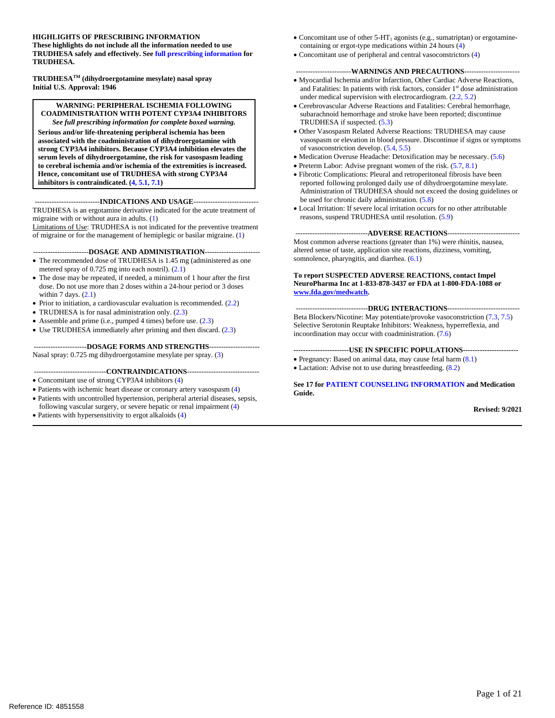#### **HIGHLIGHTS OF PRESCRIBING INFORMATION**

**These highlights do not include all the information needed to use TRUDHESA safely and effectively. Se[e full prescribing information](#page-2-0) for TRUDHESA.**

**TRUDHESATM (dihydroergotamine mesylate) nasal spray Initial U.S. Approval: 1946**

#### **WARNING: PERIPHERAL ISCHEMIA FOLLOWING COADMINISTRATION WITH POTENT CYP3A4 INHIBITORS** *See full prescribing information for complete boxed warning.*

**Serious and/or life-threatening peripheral ischemia has been associated with the coadministration of dihydroergotamine with strong CYP3A4 inhibitors. Because CYP3A4 inhibition elevates the serum levels of dihydroergotamine, the risk for vasospasm leading to cerebral ischemia and/or ischemia of the extremities is increased. Hence, concomitant use of TRUDHESA with strong CYP3A4 inhibitors is contraindicated.**  $(4, 5.1, 7.1)$  $(4, 5.1, 7.1)$  $(4, 5.1, 7.1)$ 

#### ---------------------------**INDICATIONS AND USAGE**---------------------------

TRUDHESA is an ergotamine derivative indicated for the acute treatment of migraine with or without aura in adults. [\(1\)](#page-2-1)

Limitations of Use: TRUDHESA is not indicated for the preventive treatment of migraine or for the management of hemiplegic or basilar migraine. [\(1\)](#page-2-1)

#### -----------------------**DOSAGE AND ADMINISTRATION**-----------------------

- The recommended dose of TRUDHESA is 1.45 mg (administered as one metered spray of 0.725 mg into each nostril). [\(2.1\)](#page-2-2)
- The dose may be repeated, if needed, a minimum of 1 hour after the first dose. Do not use more than 2 doses within a 24-hour period or 3 doses within 7 days.  $(2.1)$
- Prior to initiation, a cardiovascular evaluation is recommended. [\(2.2\)](#page-2-3)
- TRUDHESA is for nasal administration only.  $(2.3)$
- Assemble and prime (i.e., pumped 4 times) before use. [\(2.3\)](#page-2-4)
- Use TRUDHESA immediately after priming and then discard. [\(2.3\)](#page-2-4)

#### ----------------------**DOSAGE FORMS AND STRENGTHS**---------------------

Nasal spray: 0.725 mg dihydroergotamine mesylate per spray. [\(3\)](#page-3-2)

#### ------------------------------**CONTRAINDICATIONS**------------------------------

- Concomitant use of strong CYP3A4 inhibitors [\(4\)](#page-3-0)
- Patients with ischemic heart disease or coronary artery vasospasm [\(4\)](#page-3-0)
- Patients with uncontrolled hypertension, peripheral arterial diseases, sepsis,
- following vascular surgery, or severe hepatic or renal impairment [\(4\)](#page-3-0)
- Patients with hypersensitivity to ergot alkaloids [\(4\)](#page-3-0)
- Concomitant use of other  $5-HT_1$  agonists (e.g., sumatriptan) or ergotaminecontaining or ergot-type medications within 24 hours [\(4\)](#page-3-0)
- Concomitant use of peripheral and central vasoconstrictors [\(4\)](#page-3-0)

#### -----------------------**WARNINGS AND PRECAUTIONS**-----------------------

- Myocardial Ischemia and/or Infarction, Other Cardiac Adverse Reactions, and Fatalities: In patients with risk factors, consider 1<sup>st</sup> dose administration under medical supervision with electrocardiogram. [\(2.2,](#page-2-3) [5.2\)](#page-4-0)
- Cerebrovascular Adverse Reactions and Fatalities: Cerebral hemorrhage, subarachnoid hemorrhage and stroke have been reported; discontinue TRUDHESA if suspected. [\(5.3\)](#page-4-1)
- Other Vasospasm Related Adverse Reactions: TRUDHESA may cause vasospasm or elevation in blood pressure. Discontinue if signs or symptoms of vasoconstriction develop. [\(5.4,](#page-4-2) [5.5\)](#page-5-0)
- Medication Overuse Headache: Detoxification may be necessary. [\(5.6\)](#page-5-1)
- Preterm Labor: Advise pregnant women of the risk. [\(5.7,](#page-5-2) [8.1\)](#page-9-0)
- Fibrotic Complications: Pleural and retroperitoneal fibrosis have been reported following prolonged daily use of dihydroergotamine mesylate. Administration of TRUDHESA should not exceed the dosing guidelines or be used for chronic daily administration. [\(5.8\)](#page-5-3)
- Local Irritation: If severe local irritation occurs for no other attributable reasons, suspend TRUDHESA until resolution. [\(5.9\)](#page-5-4)

#### ------------------------------**ADVERSE REACTIONS**------------------------------

Most common adverse reactions (greater than 1%) were rhinitis, nausea, altered sense of taste, application site reactions, dizziness, vomiting, somnolence, pharyngitis, and diarrhea.  $(6.1)$ 

#### **To report SUSPECTED ADVERSE REACTIONS, contact Impel NeuroPharma Inc at 1-833-878-3437 or FDA at 1-800-FDA-1088 or [www.fda.gov/medwatch.](http://www.fda.gov/medwatch)**

------------------------------**DRUG INTERACTIONS**------------------------------ Beta Blockers/Nicotine: May potentiate/provoke vasoconstriction [\(7.3,](#page-8-1) [7.5\)](#page-9-1) Selective Serotonin Reuptake Inhibitors: Weakness, hyperreflexia, and incoordination may occur with coadministration. [\(7.6\)](#page-9-2)

#### **-----------------------USE IN SPECIFIC POPULATIONS-----------------------**

- Pregnancy: Based on animal data, may cause fetal harm [\(8.1\)](#page-9-0)
- Lactation: Advise not to use during breastfeeding. [\(8.2\)](#page-10-0)

**See 17 for [PATIENT COUNSELING INFORMATION](#page-19-0) and Medication Guide.**

**Revised: 9/2021**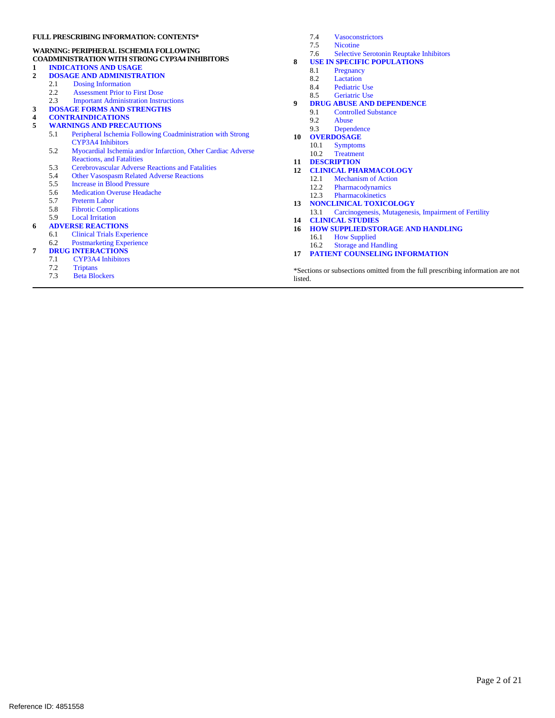#### **FULL PRESCRIBING INFORMATION: CONTENTS\***

#### **WARNING: PERIPHERAL ISCHEMIA FOLLOWING**

# **COADMINISTRATION WITH STRONG CYP3A4 INHIBITORS**

- **1 [INDICATIONS AND USAGE](#page-2-1)**
- **2 [DOSAGE AND ADMINISTRATION](#page-2-5)**
	- [Dosing Information](#page-2-2)
		- 2.2 [Assessment Prior to First Dose](#page-2-3)<br>2.3 Important Administration Instru
		- 2.3 [Important Administration Instructions](#page-2-4)
- **3 [DOSAGE FORMS AND STRENGTHS](#page-3-2)**
- **4 [CONTRAINDICATIONS](#page-3-0)**
- **[WARNINGS AND PRECAUTIONS](#page-3-3)**<br>5.1 Peripheral Ischemia Following
	- 5.1 [Peripheral Ischemia Following Coadministration with Strong](#page-3-1)  [CYP3A4 Inhibitors](#page-3-1)
	- 5.2 [Myocardial Ischemia and/or Infarction, Other Cardiac Adverse](#page-4-0)  [Reactions, and Fatalities](#page-4-0)
	- 5.3 [Cerebrovascular Adverse Reactions and Fatalities](#page-4-1)<br>5.4 Other Vasospasm Related Adverse Reactions
	- 5.4 [Other Vasospasm Related Adverse Reactions](#page-4-2)<br>5.5 Increase in Blood Pressure
	-
	- 5.5 [Increase in Blood Pressure](#page-5-0)<br>5.6 Medication Overuse Heada 5.6 [Medication Overuse Headache](#page-5-1)<br>5.7 Preterm Labor
	- 5.7 [Preterm Labor](#page-5-2)<br>5.8 Fibrotic Comp
	- [Fibrotic Complications](#page-5-3)
	- 5.9 [Local Irritation](#page-5-4)

# **6 [ADVERSE REACTIONS](#page-6-1)**

- **[Clinical Trials Experience](#page-6-0)**
- 6.2 [Postmarketing Experience](#page-8-2)
- **7 [DRUG INTERACTIONS](#page-8-3)**
	- 7.1 CYP3A4 Inhibitors<br>7.2 Triptans
		- 7.2 [Triptans](#page-8-4)
		- Beta Blockers
- 7.4 [Vasoconstrictors](#page-9-3)
- [Nicotine](#page-9-1)
- 7.6 [Selective Serotonin Reuptake Inhibitors](#page-9-2)
- **8 [USE IN SPECIFIC POPULATIONS](#page-9-4)**
	- 8.1 [Pregnancy](#page-9-0)<br>8.2 Lactation
	- [Lactation](#page-10-0)
	- 8.4 [Pediatric Use](#page-10-1)<br>8.5 Geriatric Use
	- [Geriatric Use](#page-10-2)
- **9 DRUG ABUSE AND DEPENDENCE**
	- 9.1 [Controlled Substance](#page-11-0)<br>9.2 Abuse
	- 9.2 [Abuse](#page-11-1)<br>9.3 Depen
	- **[Dependence](#page-11-2)**
- **10 [OVERDOSAGE](#page-11-3)**
- 10.1 Symptoms<br>10.2 Treatment
- Treatment
- **11 [DESCRIPTION](#page-12-0)**
- **12 [CLINICAL PHARMACOLOGY](#page-12-1)**
	- 12.1 [Mechanism of Action](#page-12-2)<br>12.2 Pharmacodynamics
	- **[Pharmacodynamics](#page-12-3)**
	- 12.3 [Pharmacokinetics](#page-12-4)
- **13 [NONCLINICAL TOXICOLOGY](#page-14-0)**
	- 13.1 [Carcinogenesis, Mutagenesis, Impairment of Fertility](#page-14-1)
- **14 [CLINICAL STUDIES](#page-14-2)**
- **16 [HOW SUPPLIED/STORAGE AND HANDLING](#page-18-0)** 16.1 [How Supplied](#page-18-1)
	- 16.2 [Storage and Handling](#page-19-1)
- **17 [PATIENT COUNSELING INFORMATION](#page-19-0)**

\*Sections or subsections omitted from the full prescribing information are not listed.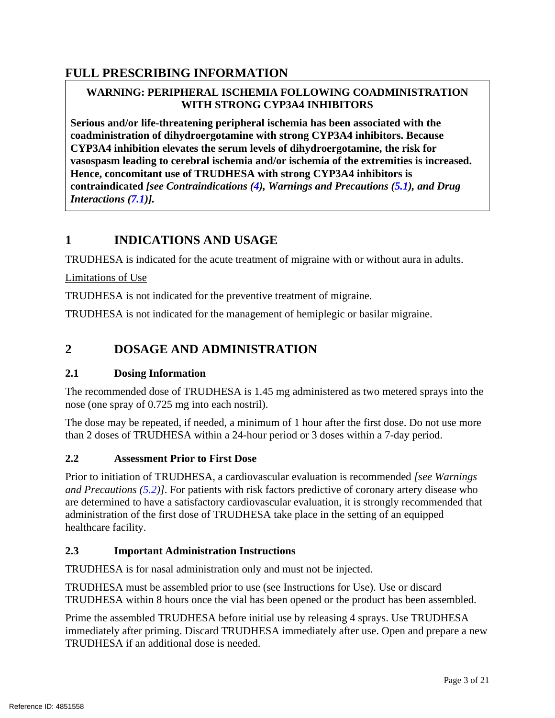# <span id="page-2-0"></span>**FULL PRESCRIBING INFORMATION**

# **WARNING: PERIPHERAL ISCHEMIA FOLLOWING COADMINISTRATION WITH STRONG CYP3A4 INHIBITORS**

**Serious and/or life-threatening peripheral ischemia has been associated with the coadministration of dihydroergotamine with strong CYP3A4 inhibitors. Because CYP3A4 inhibition elevates the serum levels of dihydroergotamine, the risk for vasospasm leading to cerebral ischemia and/or ischemia of the extremities is increased. Hence, concomitant use of TRUDHESA with strong CYP3A4 inhibitors is contraindicated** *[see Contraindications [\(4\)](#page-3-0), Warnings and Precautions [\(5.1\)](#page-3-1), and Drug Interactions [\(7.1\)](#page-8-0)].*

# <span id="page-2-1"></span>**1 INDICATIONS AND USAGE**

TRUDHESA is indicated for the acute treatment of migraine with or without aura in adults.

Limitations of Use

TRUDHESA is not indicated for the preventive treatment of migraine.

<span id="page-2-5"></span>TRUDHESA is not indicated for the management of hemiplegic or basilar migraine.

# **2 DOSAGE AND ADMINISTRATION**

### <span id="page-2-2"></span>**2.1 Dosing Information**

The recommended dose of TRUDHESA is 1.45 mg administered as two metered sprays into the nose (one spray of 0.725 mg into each nostril).

The dose may be repeated, if needed, a minimum of 1 hour after the first dose. Do not use more than 2 doses of TRUDHESA within a 24-hour period or 3 doses within a 7-day period.

### <span id="page-2-3"></span>**2.2 Assessment Prior to First Dose**

Prior to initiation of TRUDHESA, a cardiovascular evaluation is recommended *[see Warnings and Precautions [\(5.2\)](#page-4-0)]*. For patients with risk factors predictive of coronary artery disease who are determined to have a satisfactory cardiovascular evaluation, it is strongly recommended that administration of the first dose of TRUDHESA take place in the setting of an equipped healthcare facility.

# <span id="page-2-4"></span>**2.3 Important Administration Instructions**

TRUDHESA is for nasal administration only and must not be injected.

TRUDHESA must be assembled prior to use (see Instructions for Use). Use or discard TRUDHESA within 8 hours once the vial has been opened or the product has been assembled.

Prime the assembled TRUDHESA before initial use by releasing 4 sprays. Use TRUDHESA immediately after priming. Discard TRUDHESA immediately after use. Open and prepare a new TRUDHESA if an additional dose is needed.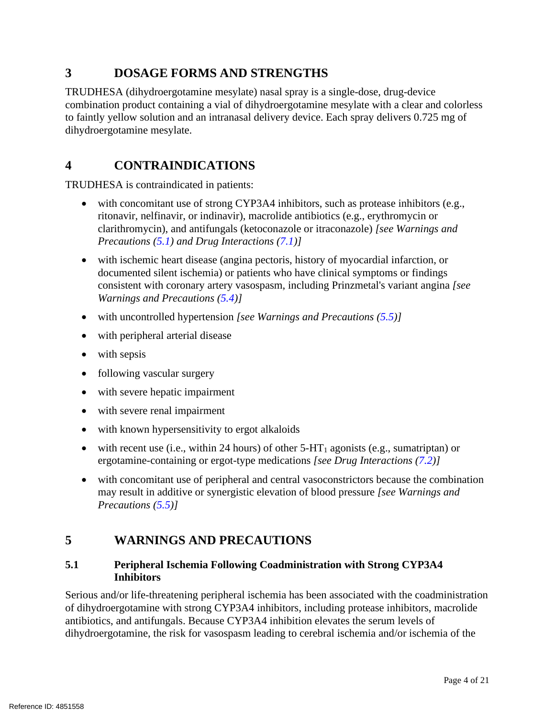# <span id="page-3-2"></span>**3 DOSAGE FORMS AND STRENGTHS**

TRUDHESA (dihydroergotamine mesylate) nasal spray is a single-dose, drug-device combination product containing a vial of dihydroergotamine mesylate with a clear and colorless to faintly yellow solution and an intranasal delivery device. Each spray delivers 0.725 mg of dihydroergotamine mesylate.

# <span id="page-3-0"></span>**4 CONTRAINDICATIONS**

TRUDHESA is contraindicated in patients:

- with concomitant use of strong CYP3A4 inhibitors, such as protease inhibitors (e.g., ritonavir, nelfinavir, or indinavir), macrolide antibiotics (e.g., erythromycin or clarithromycin), and antifungals (ketoconazole or itraconazole) *[see Warnings and Precautions [\(5.1\)](#page-3-1) and Drug Interactions [\(7.1\)](#page-8-0)]*
- with ischemic heart disease (angina pectoris, history of myocardial infarction, or documented silent ischemia) or patients who have clinical symptoms or findings consistent with coronary artery vasospasm, including Prinzmetal's variant angina *[see Warnings and Precautions [\(5.4\)](#page-4-2)]*
- with uncontrolled hypertension *[see Warnings and Precautions [\(5.5\)](#page-5-0)]*
- with peripheral arterial disease
- with sepsis
- following vascular surgery
- with severe hepatic impairment
- with severe renal impairment
- with known hypersensitivity to ergot alkaloids
- with recent use (i.e., within 24 hours) of other  $5-HT_1$  agonists (e.g., sumatriptan) or ergotamine-containing or ergot-type medications *[see Drug Interactions [\(7.2\)](#page-8-4)]*
- with concomitant use of peripheral and central vasoconstrictors because the combination may result in additive or synergistic elevation of blood pressure *[see Warnings and Precautions [\(5.5\)](#page-5-0)]*

# <span id="page-3-3"></span>**5 WARNINGS AND PRECAUTIONS**

### <span id="page-3-1"></span>**5.1 Peripheral Ischemia Following Coadministration with Strong CYP3A4 Inhibitors**

Serious and/or life-threatening peripheral ischemia has been associated with the coadministration of dihydroergotamine with strong CYP3A4 inhibitors, including protease inhibitors, macrolide antibiotics, and antifungals. Because CYP3A4 inhibition elevates the serum levels of dihydroergotamine, the risk for vasospasm leading to cerebral ischemia and/or ischemia of the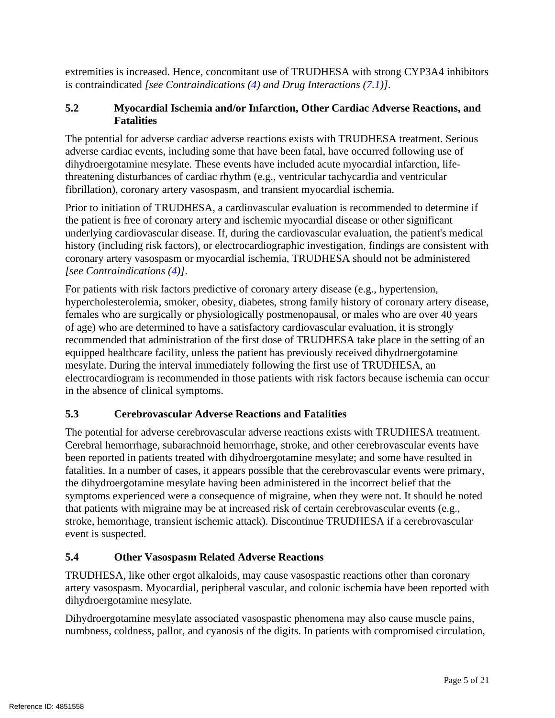extremities is increased. Hence, concomitant use of TRUDHESA with strong CYP3A4 inhibitors is contraindicated *[see Contraindications [\(4\)](#page-3-0) and Drug Interactions [\(7.1\)](#page-8-0)]*.

# <span id="page-4-0"></span>**5.2 Myocardial Ischemia and/or Infarction, Other Cardiac Adverse Reactions, and Fatalities**

The potential for adverse cardiac adverse reactions exists with TRUDHESA treatment. Serious adverse cardiac events, including some that have been fatal, have occurred following use of dihydroergotamine mesylate. These events have included acute myocardial infarction, lifethreatening disturbances of cardiac rhythm (e.g., ventricular tachycardia and ventricular fibrillation), coronary artery vasospasm, and transient myocardial ischemia.

Prior to initiation of TRUDHESA, a cardiovascular evaluation is recommended to determine if the patient is free of coronary artery and ischemic myocardial disease or other significant underlying cardiovascular disease. If, during the cardiovascular evaluation, the patient's medical history (including risk factors), or electrocardiographic investigation, findings are consistent with coronary artery vasospasm or myocardial ischemia, TRUDHESA should not be administered *[see Contraindications [\(4\)](#page-3-0)]*.

For patients with risk factors predictive of coronary artery disease (e.g., hypertension, hypercholesterolemia, smoker, obesity, diabetes, strong family history of coronary artery disease, females who are surgically or physiologically postmenopausal, or males who are over 40 years of age) who are determined to have a satisfactory cardiovascular evaluation, it is strongly recommended that administration of the first dose of TRUDHESA take place in the setting of an equipped healthcare facility, unless the patient has previously received dihydroergotamine mesylate. During the interval immediately following the first use of TRUDHESA, an electrocardiogram is recommended in those patients with risk factors because ischemia can occur in the absence of clinical symptoms.

# <span id="page-4-1"></span>**5.3 Cerebrovascular Adverse Reactions and Fatalities**

The potential for adverse cerebrovascular adverse reactions exists with TRUDHESA treatment. Cerebral hemorrhage, subarachnoid hemorrhage, stroke, and other cerebrovascular events have been reported in patients treated with dihydroergotamine mesylate; and some have resulted in fatalities. In a number of cases, it appears possible that the cerebrovascular events were primary, the dihydroergotamine mesylate having been administered in the incorrect belief that the symptoms experienced were a consequence of migraine, when they were not. It should be noted that patients with migraine may be at increased risk of certain cerebrovascular events (e.g., stroke, hemorrhage, transient ischemic attack). Discontinue TRUDHESA if a cerebrovascular event is suspected.

# <span id="page-4-2"></span>**5.4 Other Vasospasm Related Adverse Reactions**

TRUDHESA, like other ergot alkaloids, may cause vasospastic reactions other than coronary artery vasospasm. Myocardial, peripheral vascular, and colonic ischemia have been reported with dihydroergotamine mesylate.

Dihydroergotamine mesylate associated vasospastic phenomena may also cause muscle pains, numbness, coldness, pallor, and cyanosis of the digits. In patients with compromised circulation,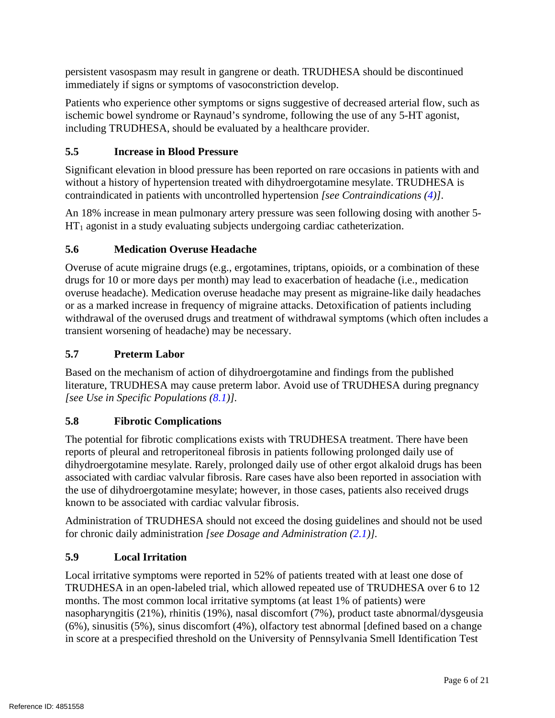persistent vasospasm may result in gangrene or death. TRUDHESA should be discontinued immediately if signs or symptoms of vasoconstriction develop.

Patients who experience other symptoms or signs suggestive of decreased arterial flow, such as ischemic bowel syndrome or Raynaud's syndrome, following the use of any 5-HT agonist, including TRUDHESA, should be evaluated by a healthcare provider.

# <span id="page-5-0"></span>**5.5 Increase in Blood Pressure**

Significant elevation in blood pressure has been reported on rare occasions in patients with and without a history of hypertension treated with dihydroergotamine mesylate. TRUDHESA is contraindicated in patients with uncontrolled hypertension *[see Contraindications [\(4\)](#page-3-0)]*.

An 18% increase in mean pulmonary artery pressure was seen following dosing with another 5-  $HT_1$  agonist in a study evaluating subjects undergoing cardiac catheterization.

# <span id="page-5-1"></span>**5.6 Medication Overuse Headache**

Overuse of acute migraine drugs (e.g., ergotamines, triptans, opioids, or a combination of these drugs for 10 or more days per month) may lead to exacerbation of headache (i.e., medication overuse headache). Medication overuse headache may present as migraine-like daily headaches or as a marked increase in frequency of migraine attacks. Detoxification of patients including withdrawal of the overused drugs and treatment of withdrawal symptoms (which often includes a transient worsening of headache) may be necessary.

# <span id="page-5-2"></span>**5.7 Preterm Labor**

Based on the mechanism of action of dihydroergotamine and findings from the published literature, TRUDHESA may cause preterm labor. Avoid use of TRUDHESA during pregnancy *[see Use in Specific Populations [\(8.1\)](#page-9-0)].*

# <span id="page-5-3"></span>**5.8 Fibrotic Complications**

The potential for fibrotic complications exists with TRUDHESA treatment. There have been reports of pleural and retroperitoneal fibrosis in patients following prolonged daily use of dihydroergotamine mesylate. Rarely, prolonged daily use of other ergot alkaloid drugs has been associated with cardiac valvular fibrosis. Rare cases have also been reported in association with the use of dihydroergotamine mesylate; however, in those cases, patients also received drugs known to be associated with cardiac valvular fibrosis.

Administration of TRUDHESA should not exceed the dosing guidelines and should not be used for chronic daily administration *[see Dosage and Administration [\(2.1\)](#page-2-2)].*

# <span id="page-5-4"></span>**5.9 Local Irritation**

Local irritative symptoms were reported in 52% of patients treated with at least one dose of TRUDHESA in an open-labeled trial, which allowed repeated use of TRUDHESA over 6 to 12 months. The most common local irritative symptoms (at least 1% of patients) were nasopharyngitis (21%), rhinitis (19%), nasal discomfort (7%), product taste abnormal/dysgeusia (6%), sinusitis (5%), sinus discomfort (4%), olfactory test abnormal [defined based on a change in score at a prespecified threshold on the University of Pennsylvania Smell Identification Test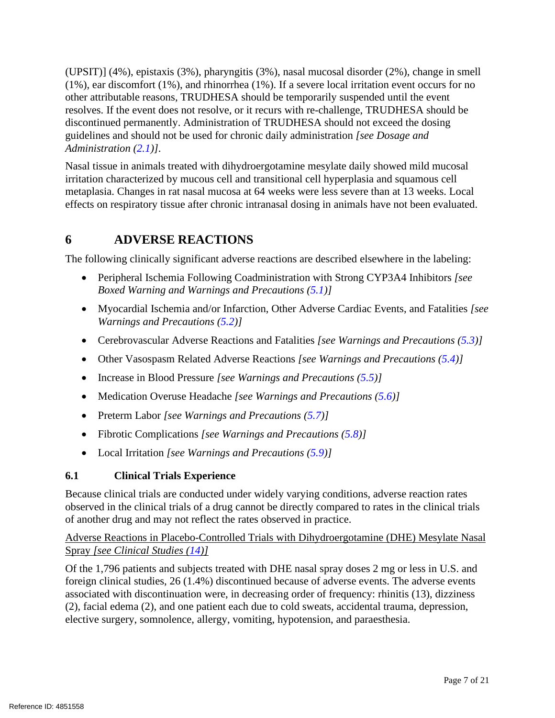(UPSIT)] (4%), epistaxis (3%), pharyngitis (3%), nasal mucosal disorder (2%), change in smell (1%), ear discomfort (1%), and rhinorrhea (1%). If a severe local irritation event occurs for no other attributable reasons, TRUDHESA should be temporarily suspended until the event resolves. If the event does not resolve, or it recurs with re-challenge, TRUDHESA should be discontinued permanently. Administration of TRUDHESA should not exceed the dosing guidelines and should not be used for chronic daily administration *[see Dosage and Administration [\(2.1\)](#page-2-2)]*.

Nasal tissue in animals treated with dihydroergotamine mesylate daily showed mild mucosal irritation characterized by mucous cell and transitional cell hyperplasia and squamous cell metaplasia. Changes in rat nasal mucosa at 64 weeks were less severe than at 13 weeks. Local effects on respiratory tissue after chronic intranasal dosing in animals have not been evaluated.

# <span id="page-6-1"></span>**6 ADVERSE REACTIONS**

The following clinically significant adverse reactions are described elsewhere in the labeling:

- Peripheral Ischemia Following Coadministration with Strong CYP3A4 Inhibitors *[see Boxed Warning and Warnings and Precautions [\(5.1\)](#page-3-1)]*
- Myocardial Ischemia and/or Infarction, Other Adverse Cardiac Events, and Fatalities *[see Warnings and Precautions [\(5.2\)](#page-4-0)]*
- Cerebrovascular Adverse Reactions and Fatalities *[see Warnings and Precautions [\(5.3\)](#page-4-1)]*
- Other Vasospasm Related Adverse Reactions *[see Warnings and Precautions [\(5.4\)](#page-4-2)]*
- Increase in Blood Pressure *[see Warnings and Precautions [\(5.5\)](#page-5-0)]*
- Medication Overuse Headache *[see Warnings and Precautions [\(5.6\)](#page-5-1)]*
- Preterm Labor *[see Warnings and Precautions [\(5.7\)](#page-3-3)]*
- Fibrotic Complications *[see Warnings and Precautions [\(5.8\)](#page-5-3)]*
- Local Irritation *[see Warnings and Precautions [\(5.9\)](#page-5-4)]*

# <span id="page-6-0"></span>**6.1 Clinical Trials Experience**

Because clinical trials are conducted under widely varying conditions, adverse reaction rates observed in the clinical trials of a drug cannot be directly compared to rates in the clinical trials of another drug and may not reflect the rates observed in practice.

# Adverse Reactions in Placebo-Controlled Trials with Dihydroergotamine (DHE) Mesylate Nasal Spray *[see Clinical Studies [\(14\)](#page-14-2)]*

Of the 1,796 patients and subjects treated with DHE nasal spray doses 2 mg or less in U.S. and foreign clinical studies, 26 (1.4%) discontinued because of adverse events. The adverse events associated with discontinuation were, in decreasing order of frequency: rhinitis (13), dizziness (2), facial edema (2), and one patient each due to cold sweats, accidental trauma, depression, elective surgery, somnolence, allergy, vomiting, hypotension, and paraesthesia.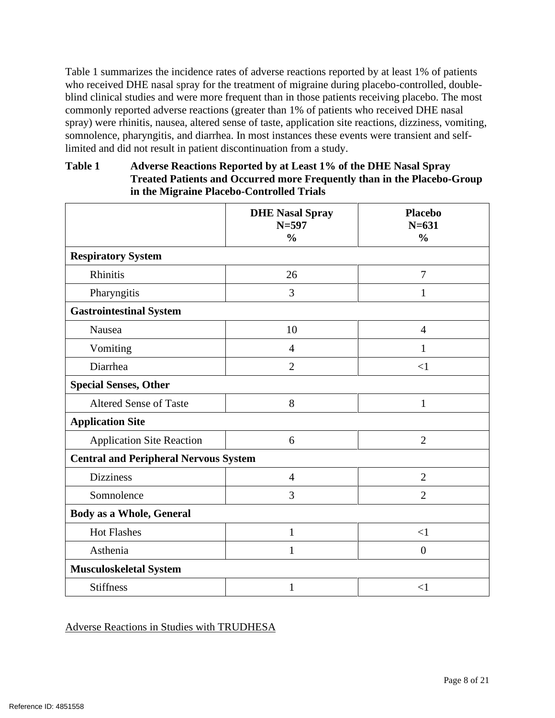[Table 1](#page-7-0) summarizes the incidence rates of adverse reactions reported by at least 1% of patients who received DHE nasal spray for the treatment of migraine during placebo-controlled, doubleblind clinical studies and were more frequent than in those patients receiving placebo. The most commonly reported adverse reactions (greater than 1% of patients who received DHE nasal spray) were rhinitis, nausea, altered sense of taste, application site reactions, dizziness, vomiting, somnolence, pharyngitis, and diarrhea. In most instances these events were transient and selflimited and did not result in patient discontinuation from a study.

## <span id="page-7-0"></span>**Table 1 Adverse Reactions Reported by at Least 1% of the DHE Nasal Spray Treated Patients and Occurred more Frequently than in the Placebo-Group in the Migraine Placebo-Controlled Trials**

|                                              | <b>DHE Nasal Spray</b><br>$N = 597$<br>$\frac{0}{0}$ | <b>Placebo</b><br>$N = 631$<br>$\frac{0}{0}$ |  |  |
|----------------------------------------------|------------------------------------------------------|----------------------------------------------|--|--|
| <b>Respiratory System</b>                    |                                                      |                                              |  |  |
| Rhinitis                                     | 26                                                   | 7                                            |  |  |
| Pharyngitis                                  | 3                                                    | 1                                            |  |  |
| <b>Gastrointestinal System</b>               |                                                      |                                              |  |  |
| Nausea                                       | 10                                                   | $\overline{4}$                               |  |  |
| Vomiting                                     | 4                                                    |                                              |  |  |
| Diarrhea                                     | $\overline{2}$                                       | <1                                           |  |  |
| <b>Special Senses, Other</b>                 |                                                      |                                              |  |  |
| <b>Altered Sense of Taste</b>                | 8                                                    | $\mathbf{1}$                                 |  |  |
| <b>Application Site</b>                      |                                                      |                                              |  |  |
| Application Site Reaction                    | 6                                                    | $\overline{2}$                               |  |  |
| <b>Central and Peripheral Nervous System</b> |                                                      |                                              |  |  |
| <b>Dizziness</b>                             | $\overline{4}$                                       | $\overline{2}$                               |  |  |
| Somnolence                                   | 3                                                    | $\overline{2}$                               |  |  |
| <b>Body as a Whole, General</b>              |                                                      |                                              |  |  |
| <b>Hot Flashes</b>                           | $\mathbf{1}$                                         | $\leq$ 1                                     |  |  |
| Asthenia                                     | $\mathbf{1}$                                         | $\overline{0}$                               |  |  |
| <b>Musculoskeletal System</b>                |                                                      |                                              |  |  |
| <b>Stiffness</b>                             | 1                                                    | $\leq$ 1                                     |  |  |

# Adverse Reactions in Studies with TRUDHESA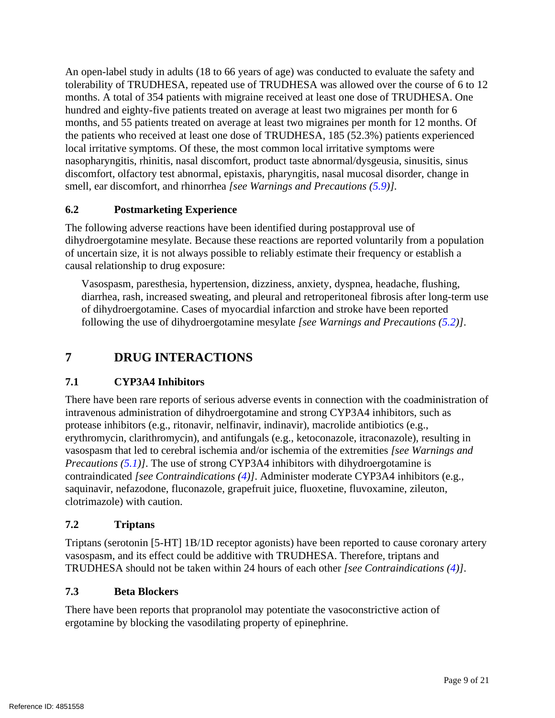An open-label study in adults (18 to 66 years of age) was conducted to evaluate the safety and tolerability of TRUDHESA, repeated use of TRUDHESA was allowed over the course of 6 to 12 months. A total of 354 patients with migraine received at least one dose of TRUDHESA. One hundred and eighty-five patients treated on average at least two migraines per month for 6 months, and 55 patients treated on average at least two migraines per month for 12 months. Of the patients who received at least one dose of TRUDHESA, 185 (52.3%) patients experienced local irritative symptoms. Of these, the most common local irritative symptoms were nasopharyngitis, rhinitis, nasal discomfort, product taste abnormal/dysgeusia, sinusitis, sinus discomfort, olfactory test abnormal, epistaxis, pharyngitis, nasal mucosal disorder, change in smell, ear discomfort, and rhinorrhea *[see Warnings and Precautions [\(5.9\)](#page-5-4)].*

# <span id="page-8-2"></span>**6.2 Postmarketing Experience**

The following adverse reactions have been identified during postapproval use of dihydroergotamine mesylate. Because these reactions are reported voluntarily from a population of uncertain size, it is not always possible to reliably estimate their frequency or establish a causal relationship to drug exposure:

Vasospasm, paresthesia, hypertension, dizziness, anxiety, dyspnea, headache, flushing, diarrhea, rash, increased sweating, and pleural and retroperitoneal fibrosis after long-term use of dihydroergotamine. Cases of myocardial infarction and stroke have been reported following the use of dihydroergotamine mesylate *[see Warnings and Precautions [\(5.2\)](#page-4-0)]*.

# <span id="page-8-3"></span>**7 DRUG INTERACTIONS**

# <span id="page-8-0"></span>**7.1 CYP3A4 Inhibitors**

There have been rare reports of serious adverse events in connection with the coadministration of intravenous administration of dihydroergotamine and strong CYP3A4 inhibitors, such as protease inhibitors (e.g., ritonavir, nelfinavir, indinavir), macrolide antibiotics (e.g., erythromycin, clarithromycin), and antifungals (e.g., ketoconazole, itraconazole), resulting in vasospasm that led to cerebral ischemia and/or ischemia of the extremities *[see Warnings and Precautions [\(5.1\)](#page-3-1)]*. The use of strong CYP3A4 inhibitors with dihydroergotamine is contraindicated *[see Contraindications [\(4\)](#page-3-0)]*. Administer moderate CYP3A4 inhibitors (e.g., saquinavir, nefazodone, fluconazole, grapefruit juice, fluoxetine, fluvoxamine, zileuton, clotrimazole) with caution.

### <span id="page-8-4"></span>**7.2 Triptans**

Triptans (serotonin [5-HT] 1B/1D receptor agonists) have been reported to cause coronary artery vasospasm, and its effect could be additive with TRUDHESA. Therefore, triptans and TRUDHESA should not be taken within 24 hours of each other *[see Contraindications [\(4\)](#page-3-0)]*.

### <span id="page-8-1"></span>**7.3 Beta Blockers**

There have been reports that propranolol may potentiate the vasoconstrictive action of ergotamine by blocking the vasodilating property of epinephrine.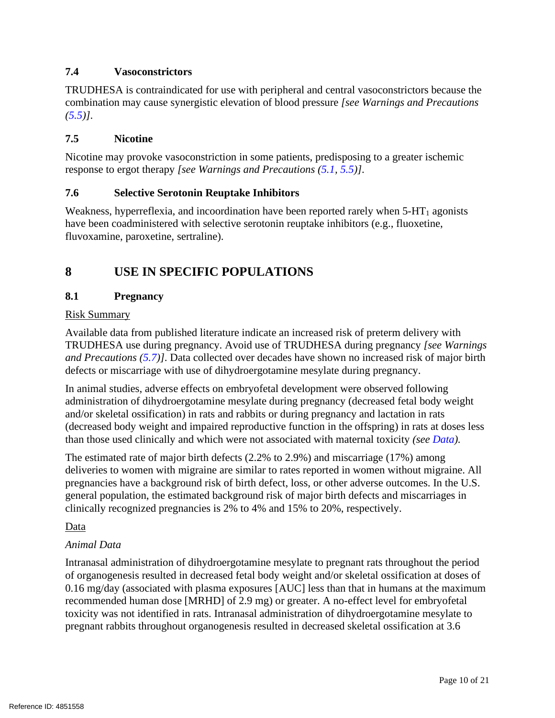## <span id="page-9-3"></span>**7.4 Vasoconstrictors**

TRUDHESA is contraindicated for use with peripheral and central vasoconstrictors because the combination may cause synergistic elevation of blood pressure *[see Warnings and Precautions [\(5.5\)](#page-5-0)]*.

### <span id="page-9-1"></span>**7.5 Nicotine**

Nicotine may provoke vasoconstriction in some patients, predisposing to a greater ischemic response to ergot therapy *[see Warnings and Precautions [\(5.1,](#page-3-1) [5.5\)](#page-5-0)]*.

### <span id="page-9-2"></span>**7.6 Selective Serotonin Reuptake Inhibitors**

Weakness, hyperreflexia, and incoordination have been reported rarely when  $5-HT_1$  agonists have been coadministered with selective serotonin reuptake inhibitors (e.g., fluoxetine, fluvoxamine, paroxetine, sertraline).

# <span id="page-9-4"></span>**8 USE IN SPECIFIC POPULATIONS**

### <span id="page-9-0"></span>**8.1 Pregnancy**

### Risk Summary

Available data from published literature indicate an increased risk of preterm delivery with TRUDHESA use during pregnancy. Avoid use of TRUDHESA during pregnancy *[see Warnings and Precautions [\(5.7\)](#page-5-2)]*. Data collected over decades have shown no increased risk of major birth defects or miscarriage with use of dihydroergotamine mesylate during pregnancy.

In animal studies, adverse effects on embryofetal development were observed following administration of dihydroergotamine mesylate during pregnancy (decreased fetal body weight and/or skeletal ossification) in rats and rabbits or during pregnancy and lactation in rats (decreased body weight and impaired reproductive function in the offspring) in rats at doses less than those used clinically and which were not associated with maternal toxicity *(see [Data\)](#page-9-5).*

The estimated rate of major birth defects (2.2% to 2.9%) and miscarriage (17%) among deliveries to women with migraine are similar to rates reported in women without migraine. All pregnancies have a background risk of birth defect, loss, or other adverse outcomes. In the U.S. general population, the estimated background risk of major birth defects and miscarriages in clinically recognized pregnancies is 2% to 4% and 15% to 20%, respectively.

### <span id="page-9-5"></span>Data

### *Animal Data*

Intranasal administration of dihydroergotamine mesylate to pregnant rats throughout the period of organogenesis resulted in decreased fetal body weight and/or skeletal ossification at doses of 0.16 mg/day (associated with plasma exposures [AUC] less than that in humans at the maximum recommended human dose [MRHD] of 2.9 mg) or greater. A no-effect level for embryofetal toxicity was not identified in rats. Intranasal administration of dihydroergotamine mesylate to pregnant rabbits throughout organogenesis resulted in decreased skeletal ossification at 3.6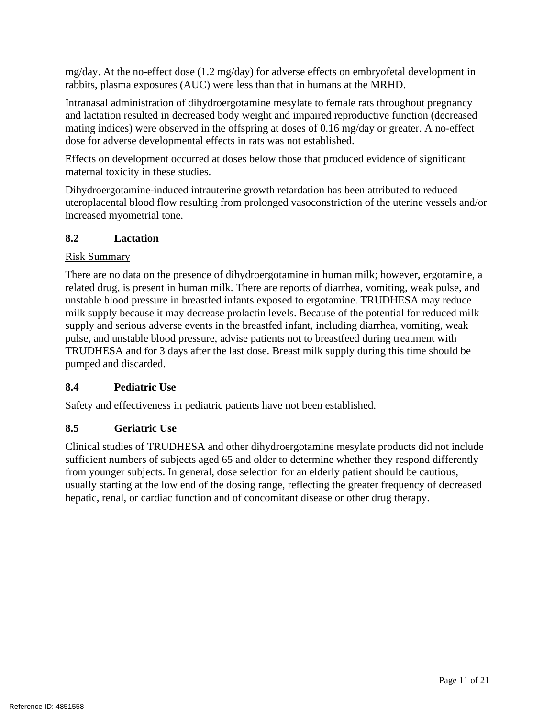mg/day. At the no-effect dose (1.2 mg/day) for adverse effects on embryofetal development in rabbits, plasma exposures (AUC) were less than that in humans at the MRHD.

Intranasal administration of dihydroergotamine mesylate to female rats throughout pregnancy and lactation resulted in decreased body weight and impaired reproductive function (decreased mating indices) were observed in the offspring at doses of 0.16 mg/day or greater. A no-effect dose for adverse developmental effects in rats was not established.

Effects on development occurred at doses below those that produced evidence of significant maternal toxicity in these studies.

Dihydroergotamine-induced intrauterine growth retardation has been attributed to reduced uteroplacental blood flow resulting from prolonged vasoconstriction of the uterine vessels and/or increased myometrial tone.

### <span id="page-10-0"></span>**8.2 Lactation**

### Risk Summary

There are no data on the presence of dihydroergotamine in human milk; however, ergotamine, a related drug, is present in human milk. There are reports of diarrhea, vomiting, weak pulse, and unstable blood pressure in breastfed infants exposed to ergotamine. TRUDHESA may reduce milk supply because it may decrease prolactin levels. Because of the potential for reduced milk supply and serious adverse events in the breastfed infant, including diarrhea, vomiting, weak pulse, and unstable blood pressure, advise patients not to breastfeed during treatment with TRUDHESA and for 3 days after the last dose. Breast milk supply during this time should be pumped and discarded.

### <span id="page-10-1"></span>**8.4 Pediatric Use**

Safety and effectiveness in pediatric patients have not been established.

# <span id="page-10-2"></span>**8.5 Geriatric Use**

Clinical studies of TRUDHESA and other dihydroergotamine mesylate products did not include sufficient numbers of subjects aged 65 and older to determine whether they respond differently from younger subjects. In general, dose selection for an elderly patient should be cautious, usually starting at the low end of the dosing range, reflecting the greater frequency of decreased hepatic, renal, or cardiac function and of concomitant disease or other drug therapy.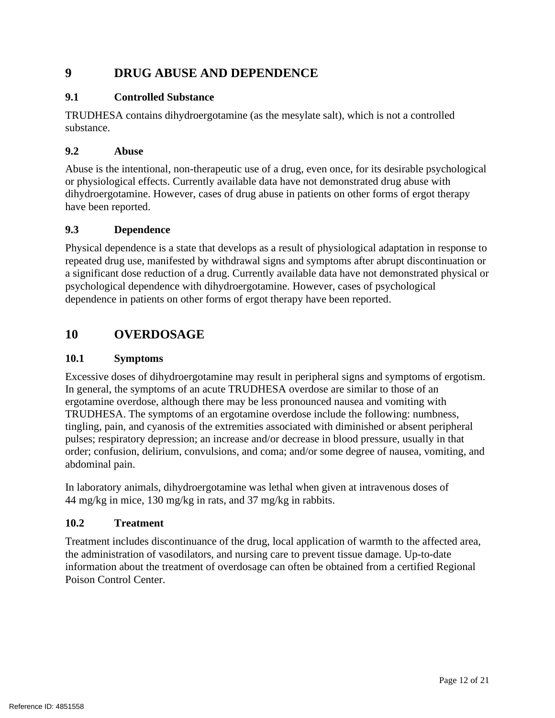# **9 DRUG ABUSE AND DEPENDENCE**

### <span id="page-11-0"></span>**9.1 Controlled Substance**

TRUDHESA contains dihydroergotamine (as the mesylate salt), which is not a controlled substance.

### <span id="page-11-1"></span>**9.2 Abuse**

Abuse is the intentional, non-therapeutic use of a drug, even once, for its desirable psychological or physiological effects. Currently available data have not demonstrated drug abuse with dihydroergotamine. However, cases of drug abuse in patients on other forms of ergot therapy have been reported.

### <span id="page-11-2"></span>**9.3 Dependence**

Physical dependence is a state that develops as a result of physiological adaptation in response to repeated drug use, manifested by withdrawal signs and symptoms after abrupt discontinuation or a significant dose reduction of a drug. Currently available data have not demonstrated physical or psychological dependence with dihydroergotamine. However, cases of psychological dependence in patients on other forms of ergot therapy have been reported.

# <span id="page-11-3"></span>**10 OVERDOSAGE**

#### **10.1 Symptoms**

Excessive doses of dihydroergotamine may result in peripheral signs and symptoms of ergotism. In general, the symptoms of an acute TRUDHESA overdose are similar to those of an ergotamine overdose, although there may be less pronounced nausea and vomiting with TRUDHESA. The symptoms of an ergotamine overdose include the following: numbness, tingling, pain, and cyanosis of the extremities associated with diminished or absent peripheral pulses; respiratory depression; an increase and/or decrease in blood pressure, usually in that order; confusion, delirium, convulsions, and coma; and/or some degree of nausea, vomiting, and abdominal pain.

In laboratory animals, dihydroergotamine was lethal when given at intravenous doses of 44 mg/kg in mice, 130 mg/kg in rats, and 37 mg/kg in rabbits.

### **10.2 Treatment**

Treatment includes discontinuance of the drug, local application of warmth to the affected area, the administration of vasodilators, and nursing care to prevent tissue damage. Up-to-date information about the treatment of overdosage can often be obtained from a certified Regional Poison Control Center.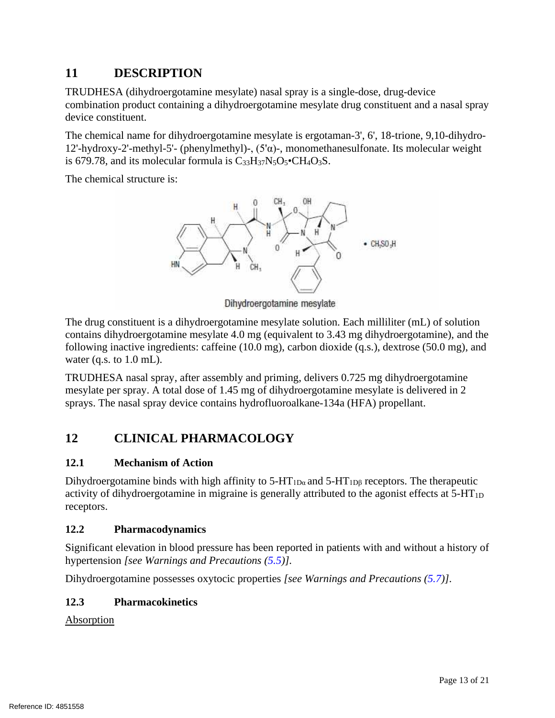# <span id="page-12-0"></span>**11 DESCRIPTION**

TRUDHESA (dihydroergotamine mesylate) nasal spray is a single-dose, drug-device combination product containing a dihydroergotamine mesylate drug constituent and a nasal spray device constituent.

The chemical name for dihydroergotamine mesylate is ergotaman-3', 6', 18-trione, 9,10-dihydro-12'-hydroxy-2'-methyl-5'- (phenylmethyl)-, (5'α)-, monomethanesulfonate. Its molecular weight is 679.78, and its molecular formula is  $C_{33}H_{37}N_5O_5$  CH<sub>4</sub>O<sub>3</sub>S.

The chemical structure is:



Dihydroergotamine mesylate

The drug constituent is a dihydroergotamine mesylate solution. Each milliliter (mL) of solution contains dihydroergotamine mesylate 4.0 mg (equivalent to 3.43 mg dihydroergotamine), and the following inactive ingredients: caffeine (10.0 mg), carbon dioxide (q.s.), dextrose (50.0 mg), and water (q.s. to  $1.0$  mL).

TRUDHESA nasal spray, after assembly and priming, delivers 0.725 mg dihydroergotamine mesylate per spray. A total dose of 1.45 mg of dihydroergotamine mesylate is delivered in 2 sprays. The nasal spray device contains hydrofluoroalkane-134a (HFA) propellant.

# <span id="page-12-1"></span>**12 CLINICAL PHARMACOLOGY**

# <span id="page-12-2"></span>**12.1 Mechanism of Action**

Dihydroergotamine binds with high affinity to  $5-HT_{1D\alpha}$  and  $5-HT_{1D\beta}$  receptors. The therapeutic activity of dihydroergotamine in migraine is generally attributed to the agonist effects at  $5-HT_{1D}$ receptors.

# <span id="page-12-3"></span>**12.2 Pharmacodynamics**

Significant elevation in blood pressure has been reported in patients with and without a history of hypertension *[see Warnings and Precautions [\(5.5\)](#page-5-0)].*

Dihydroergotamine possesses oxytocic properties *[see Warnings and Precautions [\(5.7\)](#page-5-2)]*.

# <span id="page-12-4"></span>**12.3 Pharmacokinetics**

Absorption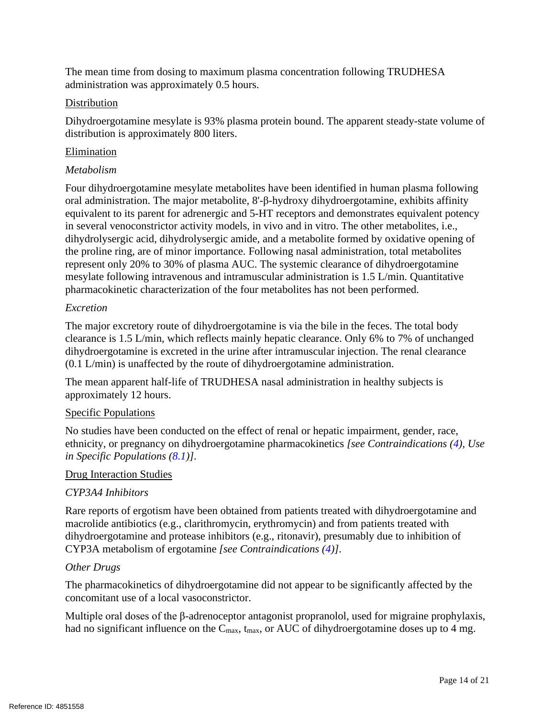The mean time from dosing to maximum plasma concentration following TRUDHESA administration was approximately 0.5 hours.

### **Distribution**

Dihydroergotamine mesylate is 93% plasma protein bound. The apparent steady-state volume of distribution is approximately 800 liters.

### Elimination

### *Metabolism*

Four dihydroergotamine mesylate metabolites have been identified in human plasma following oral administration. The major metabolite, 8'-β-hydroxy dihydroergotamine, exhibits affinity equivalent to its parent for adrenergic and 5-HT receptors and demonstrates equivalent potency in several venoconstrictor activity models, in vivo and in vitro. The other metabolites, i.e., dihydrolysergic acid, dihydrolysergic amide, and a metabolite formed by oxidative opening of the proline ring, are of minor importance. Following nasal administration, total metabolites represent only 20% to 30% of plasma AUC. The systemic clearance of dihydroergotamine mesylate following intravenous and intramuscular administration is 1.5 L/min. Quantitative pharmacokinetic characterization of the four metabolites has not been performed.

### *Excretion*

The major excretory route of dihydroergotamine is via the bile in the feces. The total body clearance is 1.5 L/min, which reflects mainly hepatic clearance. Only 6% to 7% of unchanged dihydroergotamine is excreted in the urine after intramuscular injection. The renal clearance (0.1 L/min) is unaffected by the route of dihydroergotamine administration.

The mean apparent half-life of TRUDHESA nasal administration in healthy subjects is approximately 12 hours.

### Specific Populations

No studies have been conducted on the effect of renal or hepatic impairment, gender, race, ethnicity, or pregnancy on dihydroergotamine pharmacokinetics *[see Contraindications [\(4\)](#page-3-0), Use in Specific Populations [\(8.1\)](#page-9-0)]*.

### Drug Interaction Studies

### *CYP3A4 Inhibitors*

Rare reports of ergotism have been obtained from patients treated with dihydroergotamine and macrolide antibiotics (e.g., clarithromycin, erythromycin) and from patients treated with dihydroergotamine and protease inhibitors (e.g., ritonavir), presumably due to inhibition of CYP3A metabolism of ergotamine *[see Contraindications [\(4\)](#page-3-0)]*.

### *Other Drugs*

The pharmacokinetics of dihydroergotamine did not appear to be significantly affected by the concomitant use of a local vasoconstrictor.

Multiple oral doses of the β-adrenoceptor antagonist propranolol, used for migraine prophylaxis, had no significant influence on the  $C_{\text{max}}$ ,  $t_{\text{max}}$ , or AUC of dihydroergotamine doses up to 4 mg.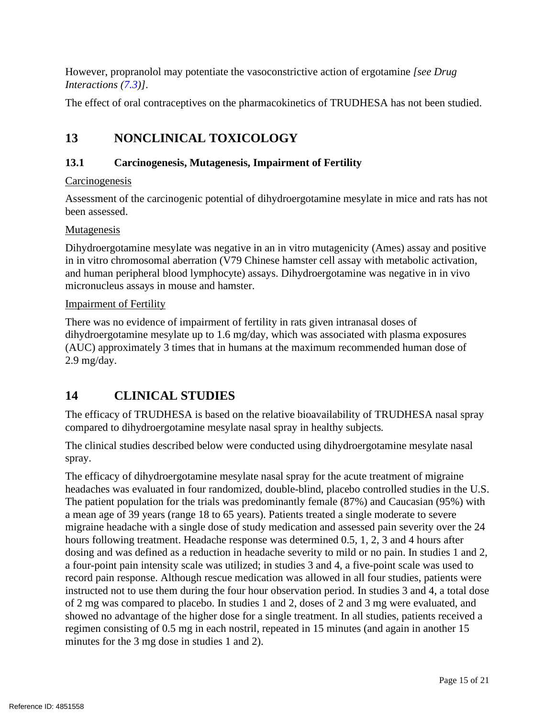However, propranolol may potentiate the vasoconstrictive action of ergotamine *[see Drug Interactions [\(7.3\)](#page-8-1)]*.

The effect of oral contraceptives on the pharmacokinetics of TRUDHESA has not been studied.

# <span id="page-14-0"></span>**13 NONCLINICAL TOXICOLOGY**

### <span id="page-14-1"></span>**13.1 Carcinogenesis, Mutagenesis, Impairment of Fertility**

### **Carcinogenesis**

Assessment of the carcinogenic potential of dihydroergotamine mesylate in mice and rats has not been assessed.

### Mutagenesis

Dihydroergotamine mesylate was negative in an in vitro mutagenicity (Ames) assay and positive in in vitro chromosomal aberration (V79 Chinese hamster cell assay with metabolic activation, and human peripheral blood lymphocyte) assays. Dihydroergotamine was negative in in vivo micronucleus assays in mouse and hamster.

#### Impairment of Fertility

There was no evidence of impairment of fertility in rats given intranasal doses of dihydroergotamine mesylate up to 1.6 mg/day, which was associated with plasma exposures (AUC) approximately 3 times that in humans at the maximum recommended human dose of 2.9 mg/day.

# <span id="page-14-2"></span>**14 CLINICAL STUDIES**

The efficacy of TRUDHESA is based on the relative bioavailability of TRUDHESA nasal spray compared to dihydroergotamine mesylate nasal spray in healthy subjects*.*

The clinical studies described below were conducted using dihydroergotamine mesylate nasal spray.

The efficacy of dihydroergotamine mesylate nasal spray for the acute treatment of migraine headaches was evaluated in four randomized, double-blind, placebo controlled studies in the U.S. The patient population for the trials was predominantly female (87%) and Caucasian (95%) with a mean age of 39 years (range 18 to 65 years). Patients treated a single moderate to severe migraine headache with a single dose of study medication and assessed pain severity over the 24 hours following treatment. Headache response was determined 0.5, 1, 2, 3 and 4 hours after dosing and was defined as a reduction in headache severity to mild or no pain. In studies 1 and 2, a four-point pain intensity scale was utilized; in studies 3 and 4, a five-point scale was used to record pain response. Although rescue medication was allowed in all four studies, patients were instructed not to use them during the four hour observation period. In studies 3 and 4, a total dose of 2 mg was compared to placebo. In studies 1 and 2, doses of 2 and 3 mg were evaluated, and showed no advantage of the higher dose for a single treatment. In all studies, patients received a regimen consisting of 0.5 mg in each nostril, repeated in 15 minutes (and again in another 15 minutes for the 3 mg dose in studies 1 and 2).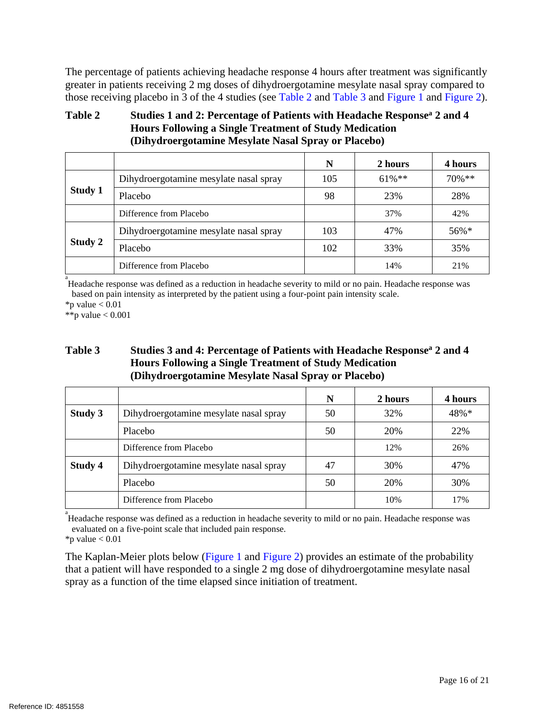The percentage of patients achieving headache response 4 hours after treatment was significantly greater in patients receiving 2 mg doses of dihydroergotamine mesylate nasal spray compared to those receiving placebo in 3 of the 4 studies (see [Table 2](#page-15-0) and [Table 3](#page-15-1) and [Figure 1](#page-16-0) and [Figure 2\)](#page-17-0).

## <span id="page-15-0"></span>**Table 2 Studies 1 and 2: Percentage of Patients with Headache Responsea 2 and 4 Hours Following a Single Treatment of Study Medication (Dihydroergotamine Mesylate Nasal Spray or Placebo)**

|                                                                     |                         | N   | 2 hours   | 4 hours   |
|---------------------------------------------------------------------|-------------------------|-----|-----------|-----------|
| Dihydroergotamine mesylate nasal spray<br><b>Study 1</b><br>Placebo |                         | 105 | $61\%$ ** | $70\%$ ** |
|                                                                     |                         | 98  | 23%       | 28%       |
|                                                                     | Difference from Placebo |     | 37%       | 42%       |
| Dihydroergotamine mesylate nasal spray                              |                         | 103 | 47%       | $56\%*$   |
| Study 2                                                             | Placebo                 | 102 | 33%       | 35%       |
|                                                                     | Difference from Placebo |     | 14%       | 21%       |

<sup>a</sup><br>Headache response was defined as a reduction in headache severity to mild or no pain. Headache response was based on pain intensity as interpreted by the patient using a four-point pain intensity scale.

 $*$ p value  $< 0.01$ 

\*\*p value  $< 0.001$ 

### <span id="page-15-1"></span>**Table 3 Studies 3 and 4: Percentage of Patients with Headache Responsea 2 and 4 Hours Following a Single Treatment of Study Medication (Dihydroergotamine Mesylate Nasal Spray or Placebo)**

|         |                                        | N  | 2 hours | 4 hours |
|---------|----------------------------------------|----|---------|---------|
| Study 3 | Dihydroergotamine mesylate nasal spray |    | 32%     | 48%*    |
|         | Placebo                                | 50 | 20%     | 22%     |
|         | Difference from Placebo                |    | 12%     | 26%     |
| Study 4 | Dihydroergotamine mesylate nasal spray |    | 30%     | 47%     |
|         | Placebo                                | 50 | 20%     | 30%     |
|         | Difference from Placebo                |    | 10%     | 17%     |

<sup>a</sup><br>Headache response was defined as a reduction in headache severity to mild or no pain. Headache response was evaluated on a five-point scale that included pain response.

 $*$ p value  $< 0.01$ 

The Kaplan-Meier plots below [\(Figure 1](#page-16-0) and [Figure 2\)](#page-17-0) provides an estimate of the probability that a patient will have responded to a single 2 mg dose of dihydroergotamine mesylate nasal spray as a function of the time elapsed since initiation of treatment.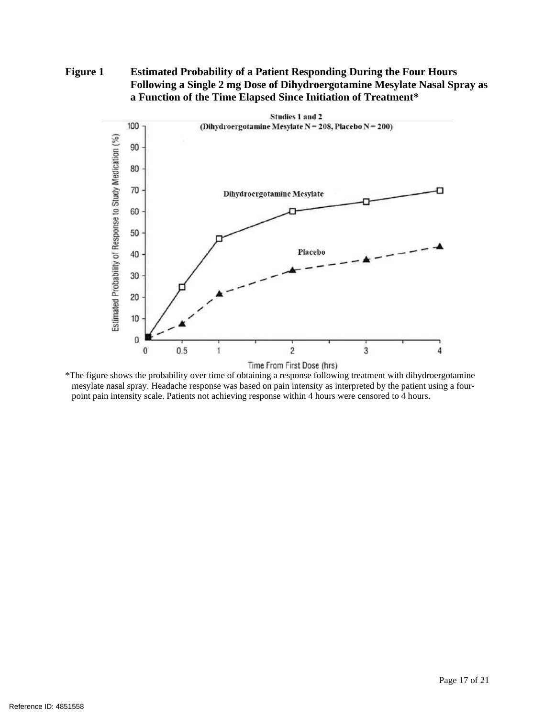### <span id="page-16-0"></span>**Figure 1 Estimated Probability of a Patient Responding During the Four Hours Following a Single 2 mg Dose of Dihydroergotamine Mesylate Nasal Spray as a Function of the Time Elapsed Since Initiation of Treatment\***



\*The figure shows the probability over time of obtaining a response following treatment with dihydroergotamine mesylate nasal spray. Headache response was based on pain intensity as interpreted by the patient using a fourpoint pain intensity scale. Patients not achieving response within 4 hours were censored to 4 hours.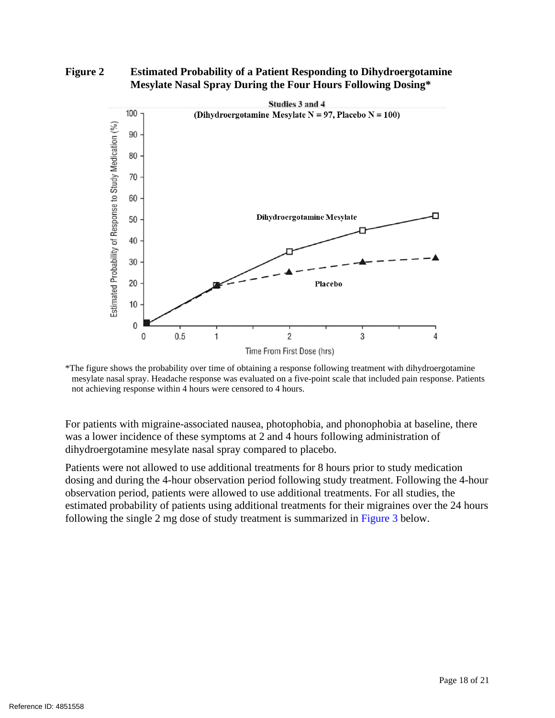#### <span id="page-17-0"></span>**Figure 2 Estimated Probability of a Patient Responding to Dihydroergotamine Mesylate Nasal Spray During the Four Hours Following Dosing\***



<sup>\*</sup>The figure shows the probability over time of obtaining a response following treatment with dihydroergotamine mesylate nasal spray. Headache response was evaluated on a five-point scale that included pain response. Patients not achieving response within 4 hours were censored to 4 hours.

For patients with migraine-associated nausea, photophobia, and phonophobia at baseline, there was a lower incidence of these symptoms at 2 and 4 hours following administration of dihydroergotamine mesylate nasal spray compared to placebo.

Patients were not allowed to use additional treatments for 8 hours prior to study medication dosing and during the 4-hour observation period following study treatment. Following the 4-hour observation period, patients were allowed to use additional treatments. For all studies, the estimated probability of patients using additional treatments for their migraines over the 24 hours following the single 2 mg dose of study treatment is summarized in [Figure 3](#page-18-2) below.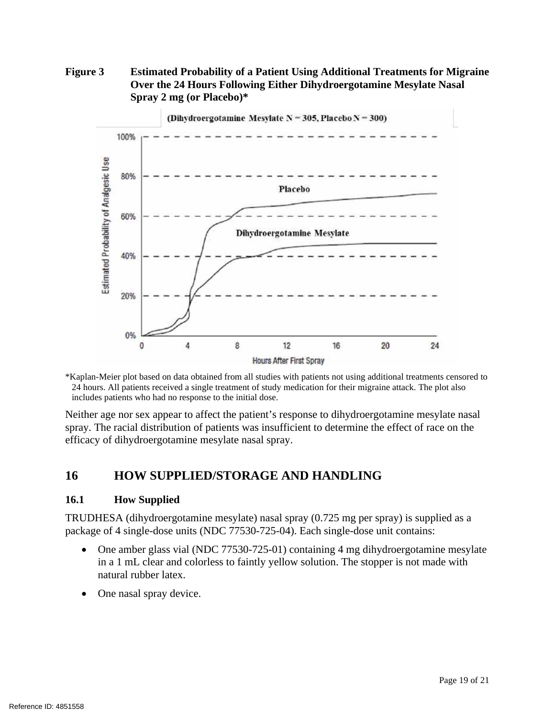## <span id="page-18-2"></span>**Figure 3 Estimated Probability of a Patient Using Additional Treatments for Migraine Over the 24 Hours Following Either Dihydroergotamine Mesylate Nasal Spray 2 mg (or Placebo)\***



\*Kaplan-Meier plot based on data obtained from all studies with patients not using additional treatments censored to 24 hours. All patients received a single treatment of study medication for their migraine attack. The plot also includes patients who had no response to the initial dose.

Neither age nor sex appear to affect the patient's response to dihydroergotamine mesylate nasal spray. The racial distribution of patients was insufficient to determine the effect of race on the efficacy of dihydroergotamine mesylate nasal spray.

# <span id="page-18-0"></span>**16 HOW SUPPLIED/STORAGE AND HANDLING**

### <span id="page-18-1"></span>**16.1 How Supplied**

TRUDHESA (dihydroergotamine mesylate) nasal spray (0.725 mg per spray) is supplied as a package of 4 single-dose units (NDC 77530-725-04). Each single-dose unit contains:

- One amber glass vial (NDC 77530-725-01) containing 4 mg dihydroergotamine mesylate in a 1 mL clear and colorless to faintly yellow solution. The stopper is not made with natural rubber latex.
- One nasal spray device.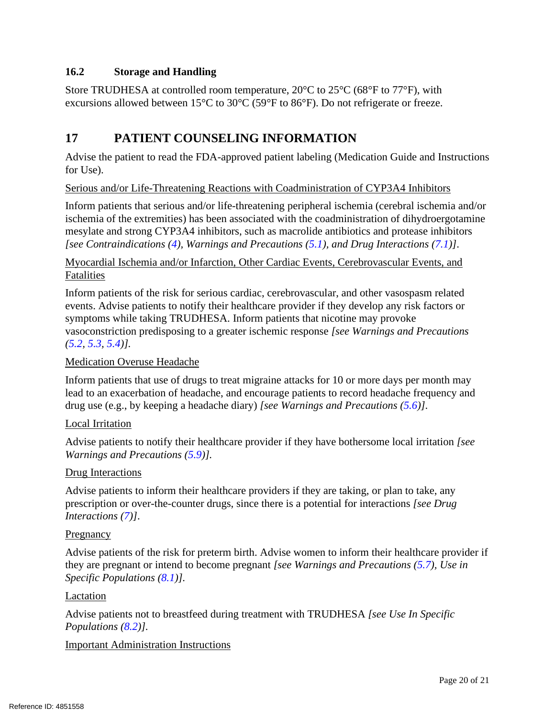# <span id="page-19-1"></span>**16.2 Storage and Handling**

Store TRUDHESA at controlled room temperature, 20°C to 25°C (68°F to 77°F), with excursions allowed between 15°C to 30°C (59°F to 86°F). Do not refrigerate or freeze.

# <span id="page-19-0"></span>**17 PATIENT COUNSELING INFORMATION**

Advise the patient to read the FDA-approved patient labeling (Medication Guide and Instructions for Use).

Serious and/or Life-Threatening Reactions with Coadministration of CYP3A4 Inhibitors

Inform patients that serious and/or life-threatening peripheral ischemia (cerebral ischemia and/or ischemia of the extremities) has been associated with the coadministration of dihydroergotamine mesylate and strong CYP3A4 inhibitors, such as macrolide antibiotics and protease inhibitors *[see Contraindications [\(4\)](#page-3-0), Warnings and Precautions [\(5.1\)](#page-3-1), and Drug Interactions [\(7.1\)](#page-8-0)]*.

Myocardial Ischemia and/or Infarction, Other Cardiac Events, Cerebrovascular Events, and Fatalities

Inform patients of the risk for serious cardiac, cerebrovascular, and other vasospasm related events. Advise patients to notify their healthcare provider if they develop any risk factors or symptoms while taking TRUDHESA. Inform patients that nicotine may provoke vasoconstriction predisposing to a greater ischemic response *[see Warnings and Precautions [\(5.2,](#page-4-0) [5.3,](#page-4-1) [5.4\)](#page-4-2)].*

### Medication Overuse Headache

Inform patients that use of drugs to treat migraine attacks for 10 or more days per month may lead to an exacerbation of headache, and encourage patients to record headache frequency and drug use (e.g., by keeping a headache diary) *[see Warnings and Precautions [\(5.6\)](#page-5-1)]*.

### Local Irritation

Advise patients to notify their healthcare provider if they have bothersome local irritation *[see Warnings and Precautions [\(5.9\)](#page-5-4)].*

### Drug Interactions

Advise patients to inform their healthcare providers if they are taking, or plan to take, any prescription or over-the-counter drugs, since there is a potential for interactions *[see Drug Interactions [\(7\)](#page-8-3)]*.

#### **Pregnancy**

Advise patients of the risk for preterm birth. Advise women to inform their healthcare provider if they are pregnant or intend to become pregnant *[see Warnings and Precautions [\(5.7\)](#page-5-2), Use in Specific Populations [\(8.1\)](#page-9-0)].* 

#### Lactation

Advise patients not to breastfeed during treatment with TRUDHESA *[see Use In Specific Populations [\(8.2\)](#page-10-0)].*

### Important Administration Instructions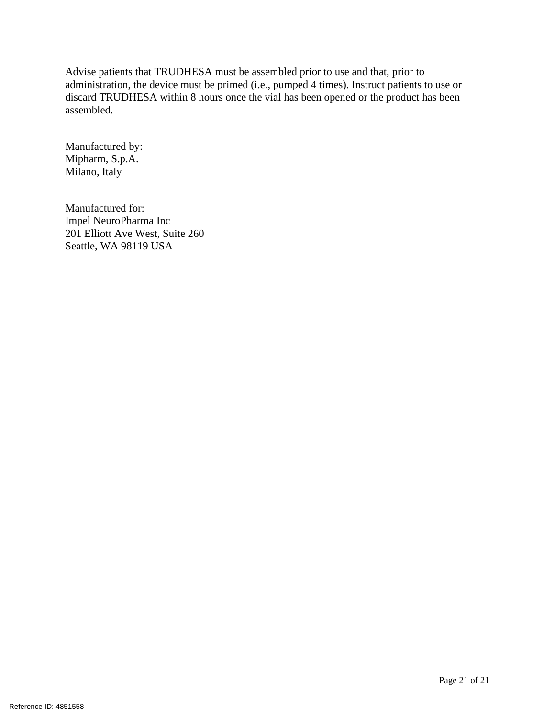Advise patients that TRUDHESA must be assembled prior to use and that, prior to administration, the device must be primed (i.e., pumped 4 times). Instruct patients to use or discard TRUDHESA within 8 hours once the vial has been opened or the product has been assembled.

Manufactured by: Mipharm, S.p.A. Milano, Italy

Manufactured for: Impel NeuroPharma Inc 201 Elliott Ave West, Suite 260 Seattle, WA 98119 USA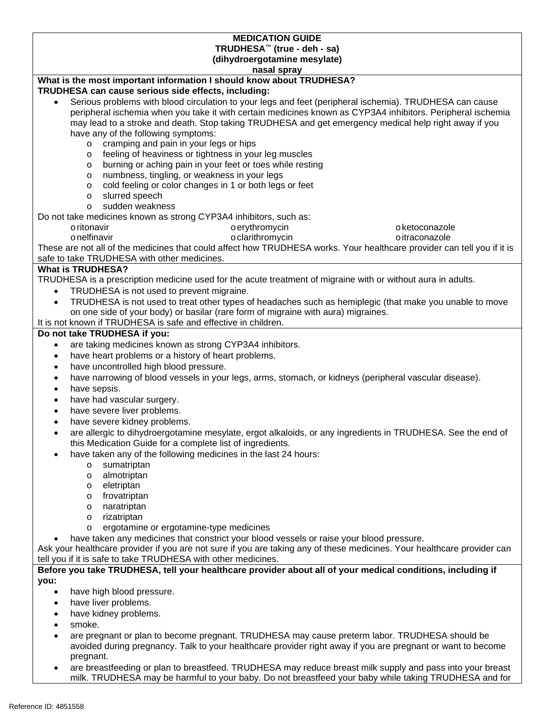| <b>MEDICATION GUIDE</b><br>TRUDHESA <sup>™</sup> (true - deh - sa)                                                      |  |  |  |  |
|-------------------------------------------------------------------------------------------------------------------------|--|--|--|--|
| (dihydroergotamine mesylate)                                                                                            |  |  |  |  |
| nasal spray                                                                                                             |  |  |  |  |
| What is the most important information I should know about TRUDHESA?                                                    |  |  |  |  |
| TRUDHESA can cause serious side effects, including:                                                                     |  |  |  |  |
| Serious problems with blood circulation to your legs and feet (peripheral ischemia). TRUDHESA can cause<br>$\bullet$    |  |  |  |  |
| peripheral ischemia when you take it with certain medicines known as CYP3A4 inhibitors. Peripheral ischemia             |  |  |  |  |
| may lead to a stroke and death. Stop taking TRUDHESA and get emergency medical help right away if you                   |  |  |  |  |
| have any of the following symptoms:                                                                                     |  |  |  |  |
| cramping and pain in your legs or hips<br>$\circ$                                                                       |  |  |  |  |
| feeling of heaviness or tightness in your leg muscles<br>$\circ$                                                        |  |  |  |  |
| burning or aching pain in your feet or toes while resting<br>$\circ$                                                    |  |  |  |  |
| numbness, tingling, or weakness in your legs<br>$\circ$                                                                 |  |  |  |  |
| cold feeling or color changes in 1 or both legs or feet<br>$\circ$                                                      |  |  |  |  |
| slurred speech<br>$\circ$                                                                                               |  |  |  |  |
| sudden weakness<br>$\circ$                                                                                              |  |  |  |  |
| Do not take medicines known as strong CYP3A4 inhibitors, such as:                                                       |  |  |  |  |
| oerythromycin<br>o ketoconazole<br>o ritonavir                                                                          |  |  |  |  |
| o clarithromycin<br>onelfinavir<br>o itraconazole                                                                       |  |  |  |  |
| These are not all of the medicines that could affect how TRUDHESA works. Your healthcare provider can tell you if it is |  |  |  |  |
| safe to take TRUDHESA with other medicines.                                                                             |  |  |  |  |
| <b>What is TRUDHESA?</b>                                                                                                |  |  |  |  |
| TRUDHESA is a prescription medicine used for the acute treatment of migraine with or without aura in adults.            |  |  |  |  |
| TRUDHESA is not used to prevent migraine.<br>$\bullet$                                                                  |  |  |  |  |
| TRUDHESA is not used to treat other types of headaches such as hemiplegic (that make you unable to move<br>$\bullet$    |  |  |  |  |
| on one side of your body) or basilar (rare form of migraine with aura) migraines.                                       |  |  |  |  |
| It is not known if TRUDHESA is safe and effective in children.                                                          |  |  |  |  |
| Do not take TRUDHESA if you:                                                                                            |  |  |  |  |
| are taking medicines known as strong CYP3A4 inhibitors.<br>$\bullet$                                                    |  |  |  |  |
| have heart problems or a history of heart problems.<br>$\bullet$                                                        |  |  |  |  |
| have uncontrolled high blood pressure.<br>$\bullet$                                                                     |  |  |  |  |
| have narrowing of blood vessels in your legs, arms, stomach, or kidneys (peripheral vascular disease).<br>$\bullet$     |  |  |  |  |
| have sepsis.<br>$\bullet$                                                                                               |  |  |  |  |
| have had vascular surgery.<br>$\bullet$                                                                                 |  |  |  |  |
| have severe liver problems.<br>$\bullet$                                                                                |  |  |  |  |
| have severe kidney problems.<br>$\bullet$                                                                               |  |  |  |  |
| are allergic to dihydroergotamine mesylate, ergot alkaloids, or any ingredients in TRUDHESA. See the end of             |  |  |  |  |
| this Medication Guide for a complete list of ingredients.                                                               |  |  |  |  |
| have taken any of the following medicines in the last 24 hours:                                                         |  |  |  |  |
| sumatriptan<br>$\circ$                                                                                                  |  |  |  |  |
| almotriptan<br>$\circ$                                                                                                  |  |  |  |  |
| eletriptan<br>$\circ$                                                                                                   |  |  |  |  |
| frovatriptan<br>$\circ$                                                                                                 |  |  |  |  |
| naratriptan<br>$\circ$                                                                                                  |  |  |  |  |
| rizatriptan<br>$\circ$                                                                                                  |  |  |  |  |
| ergotamine or ergotamine-type medicines<br>O                                                                            |  |  |  |  |
| have taken any medicines that constrict your blood vessels or raise your blood pressure.                                |  |  |  |  |
| Ask your healthcare provider if you are not sure if you are taking any of these medicines. Your healthcare provider can |  |  |  |  |
| tell you if it is safe to take TRUDHESA with other medicines.                                                           |  |  |  |  |
| Before you take TRUDHESA, tell your healthcare provider about all of your medical conditions, including if              |  |  |  |  |
| you:                                                                                                                    |  |  |  |  |
| have high blood pressure.<br>$\bullet$                                                                                  |  |  |  |  |
| have liver problems.<br>$\bullet$                                                                                       |  |  |  |  |
| have kidney problems.                                                                                                   |  |  |  |  |
| smoke.                                                                                                                  |  |  |  |  |
| are pregnant or plan to become pregnant. TRUDHESA may cause preterm labor. TRUDHESA should be<br>$\bullet$              |  |  |  |  |

- avoided during pregnancy. Talk to your healthcare provider right away if you are pregnant or want to become pregnant.
- are breastfeeding or plan to breastfeed. TRUDHESA may reduce breast milk supply and pass into your breast milk. TRUDHESA may be harmful to your baby. Do not breastfeed your baby while taking TRUDHESA and for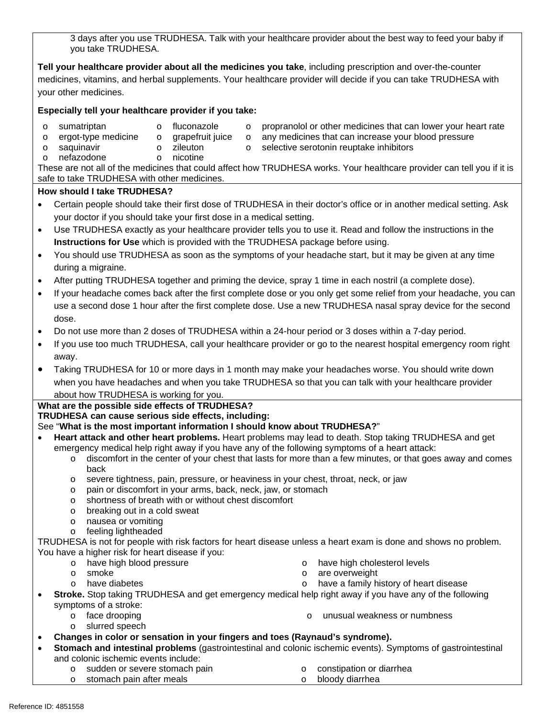3 days after you use TRUDHESA. Talk with your healthcare provider about the best way to feed your baby if you take TRUDHESA.

**Tell your healthcare provider about all the medicines you take**, including prescription and over-the-counter medicines, vitamins, and herbal supplements. Your healthcare provider will decide if you can take TRUDHESA with your other medicines.

#### **Especially tell your healthcare provider if you take:**

- 
- 
- $\circ$  sumatriptan  $\circ$  fluconazole  $\circ$  propranolol or other medicines that can lower your heart rate
- $\circ$  ergot-type medicine  $\circ$  grapefruit juice  $\circ$  any medicines that can increase your blood pressure  $\circ$  zileuton  $\circ$  selective serotonin reuptake inhibitors
	- o zileuton o selective serotonin reuptake inhibitors o nicotine
- o saquinavir<br>o nefazodone

These are not all of the medicines that could affect how TRUDHESA works. Your healthcare provider can tell you if it is safe to take TRUDHESA with other medicines.

#### **How should I take TRUDHESA?**

- Certain people should take their first dose of TRUDHESA in their doctor's office or in another medical setting. Ask your doctor if you should take your first dose in a medical setting.
- Use TRUDHESA exactly as your healthcare provider tells you to use it. Read and follow the instructions in the **Instructions for Use** which is provided with the TRUDHESA package before using.
- You should use TRUDHESA as soon as the symptoms of your headache start, but it may be given at any time during a migraine.
- After putting TRUDHESA together and priming the device, spray 1 time in each nostril (a complete dose).
- If your headache comes back after the first complete dose or you only get some relief from your headache, you can use a second dose 1 hour after the first complete dose. Use a new TRUDHESA nasal spray device for the second dose.
- Do not use more than 2 doses of TRUDHESA within a 24-hour period or 3 doses within a 7-day period.
- If you use too much TRUDHESA, call your healthcare provider or go to the nearest hospital emergency room right away.
- Taking TRUDHESA for 10 or more days in 1 month may make your headaches worse. You should write down when you have headaches and when you take TRUDHESA so that you can talk with your healthcare provider about how TRUDHESA is working for you.

**What are the possible side effects of TRUDHESA?**

**TRUDHESA can cause serious side effects, including:**

### See "**What is the most important information I should know about TRUDHESA?**"

- **Heart attack and other heart problems.** Heart problems may lead to death. Stop taking TRUDHESA and get emergency medical help right away if you have any of the following symptoms of a heart attack:
	- o discomfort in the center of your chest that lasts for more than a few minutes, or that goes away and comes back
	- o severe tightness, pain, pressure, or heaviness in your chest, throat, neck, or jaw
	- o pain or discomfort in your arms, back, neck, jaw, or stomach
	- o shortness of breath with or without chest discomfort
	- o breaking out in a cold sweat
	- o nausea or vomiting
	- o feeling lightheaded

TRUDHESA is not for people with risk factors for heart disease unless a heart exam is done and shows no problem. You have a higher risk for heart disease if you:<br>o have high blood pressure

- o have high blood pressure<br>
o smoke<br>
o smoke<br>
o are overweight
	-
- 
- 
- o smoke o smoke o are overweight<br>
o have diabetes o have a family h  $\circ$  have a family history of heart disease
- **Stroke.** Stop taking TRUDHESA and get emergency medical help right away if you have any of the following symptoms of a stroke:
	-
	- o slurred speech
	- o face drooping o unusual weakness or numbness
- **Changes in color or sensation in your fingers and toes (Raynaud's syndrome).**
- **Stomach and intestinal problems** (gastrointestinal and colonic ischemic events). Symptoms of gastrointestinal and colonic ischemic events include:
	- o sudden or severe stomach pain o constipation or diarrhea<br>
	o stomach pain after meals<br>
	o bloody diarrhea
	- $\circ$  stomach pain after meals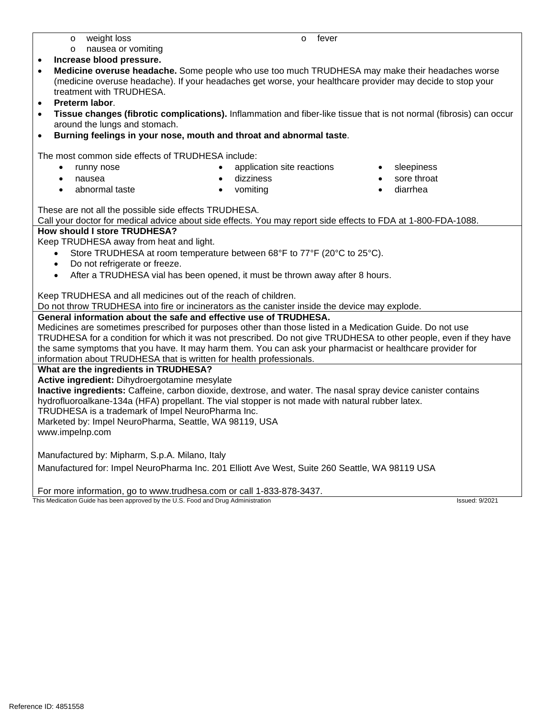- o weight loss o fever
- o nausea or vomiting
- **Increase blood pressure.**
- **Medicine overuse headache.** Some people who use too much TRUDHESA may make their headaches worse (medicine overuse headache). If your headaches get worse, your healthcare provider may decide to stop your treatment with TRUDHESA.
- **Preterm labor**.
- **Tissue changes (fibrotic complications).** Inflammation and fiber-like tissue that is not normal (fibrosis) can occur around the lungs and stomach.
- **Burning feelings in your nose, mouth and throat and abnormal taste**.

The most common side effects of TRUDHESA include:

- 
- runny nose **•** application site reactions sleepiness
	-
	- nausea dizziness sore throat
	- abnormal taste vomiting diarrhea

- -
- These are not all the possible side effects TRUDHESA.

Call your doctor for medical advice about side effects. You may report side effects to FDA at 1-800-FDA-1088.

#### **How should I store TRUDHESA?**

Keep TRUDHESA away from heat and light.

- Store TRUDHESA at room temperature between 68°F to 77°F (20°C to 25°C).
- Do not refrigerate or freeze.
- After a TRUDHESA vial has been opened, it must be thrown away after 8 hours.

Keep TRUDHESA and all medicines out of the reach of children.

Do not throw TRUDHESA into fire or incinerators as the canister inside the device may explode.

#### **General information about the safe and effective use of TRUDHESA.**

Medicines are sometimes prescribed for purposes other than those listed in a Medication Guide. Do not use TRUDHESA for a condition for which it was not prescribed. Do not give TRUDHESA to other people, even if they have the same symptoms that you have. It may harm them. You can ask your pharmacist or healthcare provider for information about TRUDHESA that is written for health professionals.

#### **What are the ingredients in TRUDHESA?**

**Active ingredient:** Dihydroergotamine mesylate

**Inactive ingredients:** Caffeine, carbon dioxide, dextrose, and water. The nasal spray device canister contains hydrofluoroalkane-134a (HFA) propellant. The vial stopper is not made with natural rubber latex.

TRUDHESA is a trademark of Impel NeuroPharma Inc.

Marketed by: Impel NeuroPharma, Seattle, WA 98119, USA

www.impelnp.com

Manufactured by: Mipharm, S.p.A. Milano, Italy

Manufactured for: Impel NeuroPharma Inc. 201 Elliott Ave West, Suite 260 Seattle, WA 98119 USA

For more information, go to www.trudhesa.com or call 1-833-878-3437.<br>This Medication Guide has been approved by the U.S. Food and Drug Administration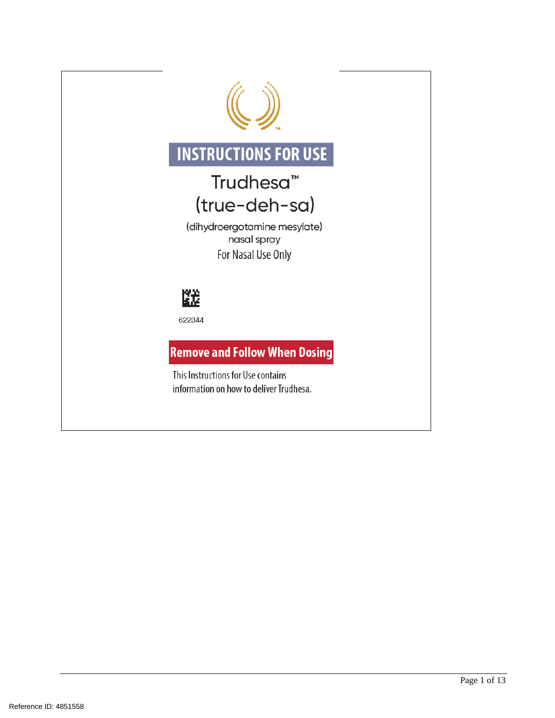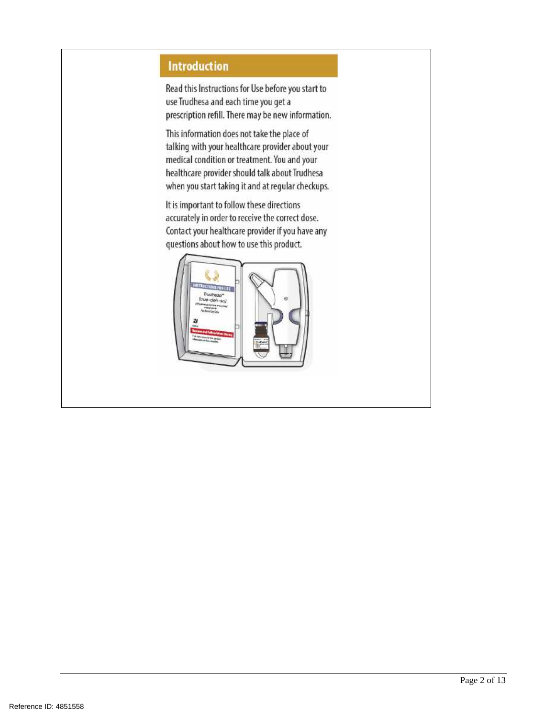# **Introduction**

Read this Instructions for Use before you start to use Trudhesa and each time you get a prescription refill. There may be new information.

This information does not take the place of talking with your healthcare provider about your medical condition or treatment. You and your healthcare provider should talk about Trudhesa when you start taking it and at regular checkups.

It is important to follow these directions accurately in order to receive the correct dose. Contact your healthcare provider if you have any questions about how to use this product.

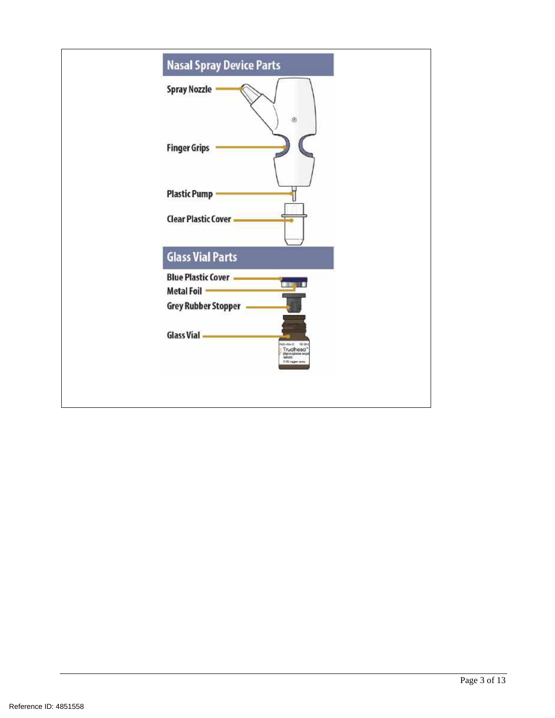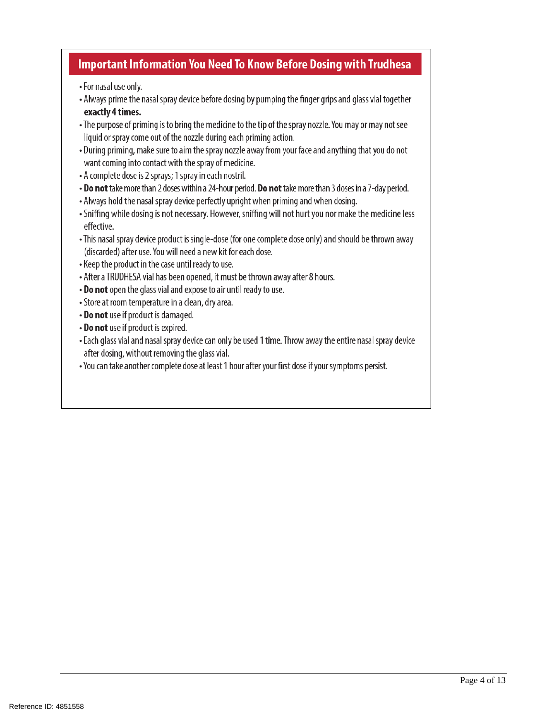# **Important Information You Need To Know Before Dosing with Trudhesa**

- For nasal use only.
- Always prime the nasal spray device before dosing by pumping the finger grips and glass vial together exactly 4 times.
- The purpose of priming is to bring the medicine to the tip of the spray nozzle. You may or may not see liquid or spray come out of the nozzle during each priming action.
- . During priming, make sure to aim the spray nozzle away from your face and anything that you do not want coming into contact with the spray of medicine.
- A complete dose is 2 sprays; 1 spray in each nostril.
- Do not take more than 2 doses within a 24-hour period. Do not take more than 3 doses in a 7-day period.
- Always hold the nasal spray device perfectly upright when priming and when dosing.
- . Sniffing while dosing is not necessary. However, sniffing will not hurt you nor make the medicine less effective.
- This nasal spray device product is single-dose (for one complete dose only) and should be thrown away (discarded) after use. You will need a new kit for each dose.
- Keep the product in the case until ready to use.
- After a TRUDHESA vial has been opened, it must be thrown away after 8 hours.
- . Do not open the glass vial and expose to air until ready to use.
- Store at room temperature in a clean, dry area.
- Do not use if product is damaged.
- Do not use if product is expired.
- Each glass vial and nasal spray device can only be used 1 time. Throw away the entire nasal spray device after dosing, without removing the glass vial.
- . You can take another complete dose at least 1 hour after your first dose if your symptoms persist.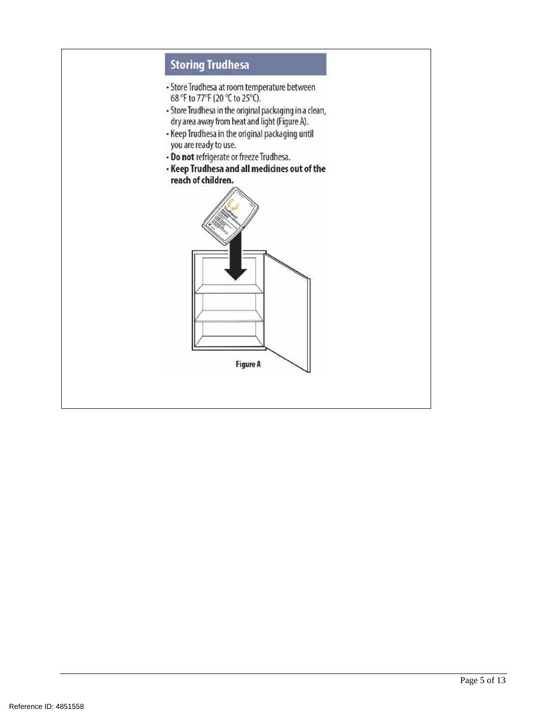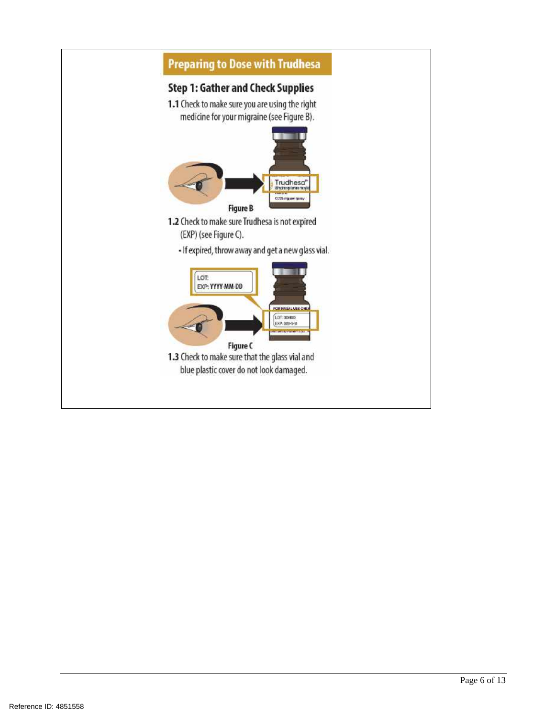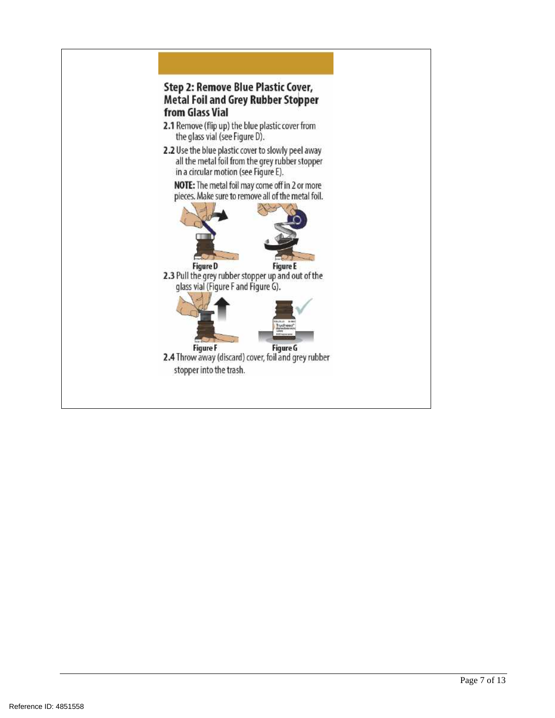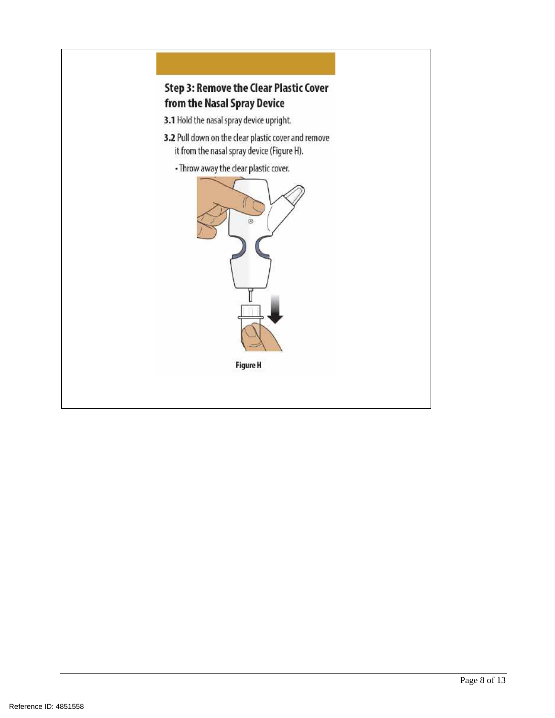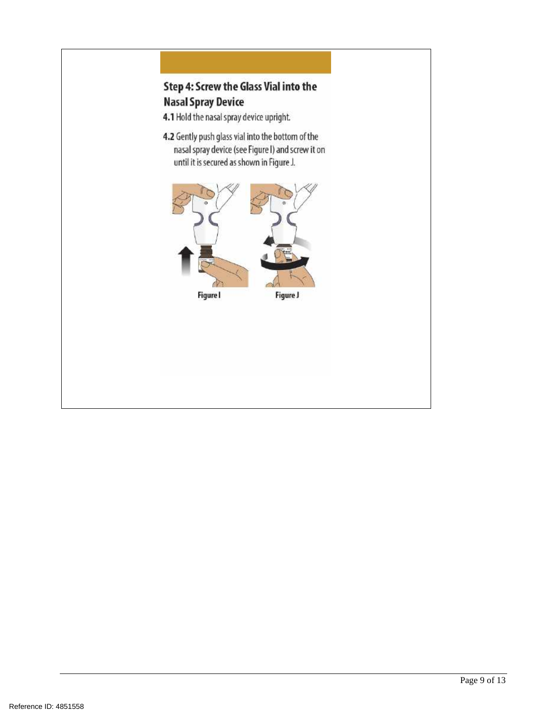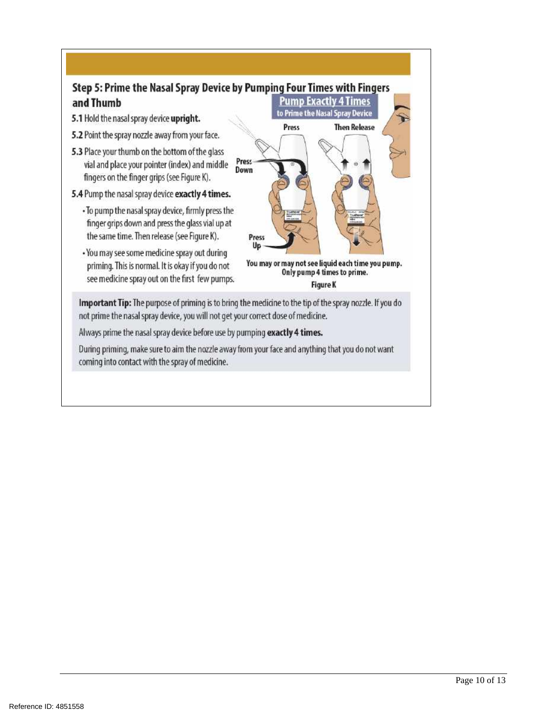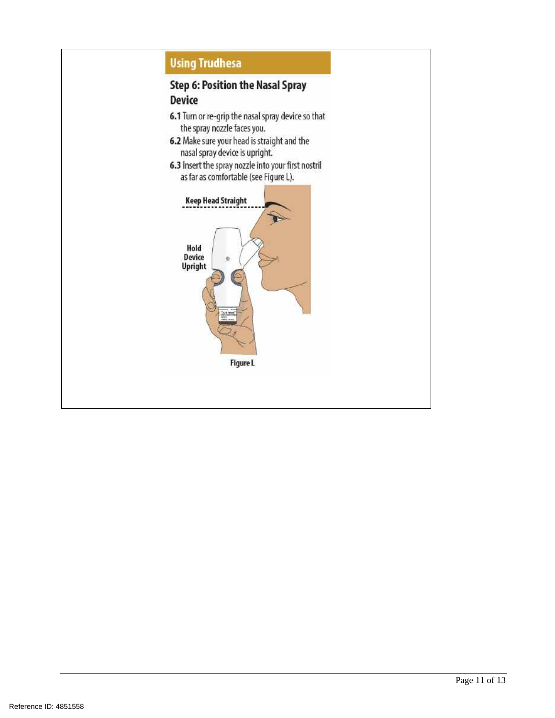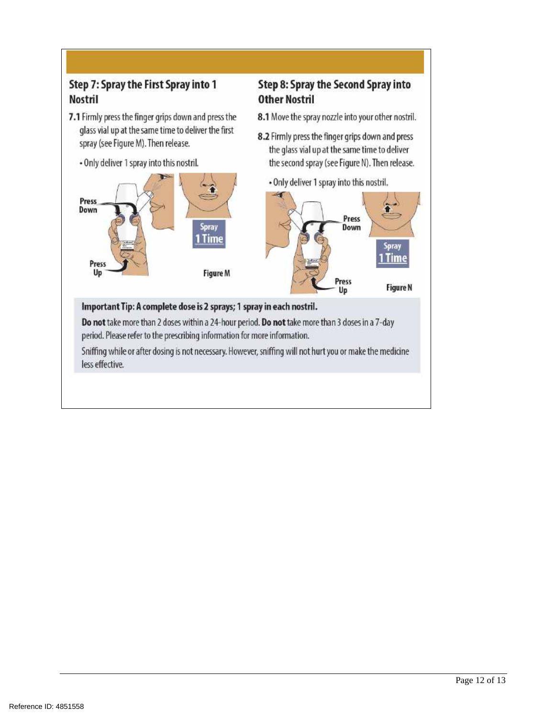# Step 7: Spray the First Spray into 1 Nostril

- 7.1 Firmly press the finger grips down and press the glass vial up at the same time to deliver the first spray (see Figure M). Then release.
	- Only deliver 1 spray into this nostril.



# Step 8: Spray the Second Spray into **Other Nostril**

- 8.1 Move the spray nozzle into your other nostril.
- 8.2 Firmly press the finger grips down and press the glass vial up at the same time to deliver the second spray (see Figure N). Then release.
	- . Only deliver 1 spray into this nostril.



# Important Tip: A complete dose is 2 sprays; 1 spray in each nostril.

Do not take more than 2 doses within a 24-hour period. Do not take more than 3 doses in a 7-day period. Please refer to the prescribing information for more information.

Sniffing while or after dosing is not necessary. However, sniffing will not hurt you or make the medicine less effective.